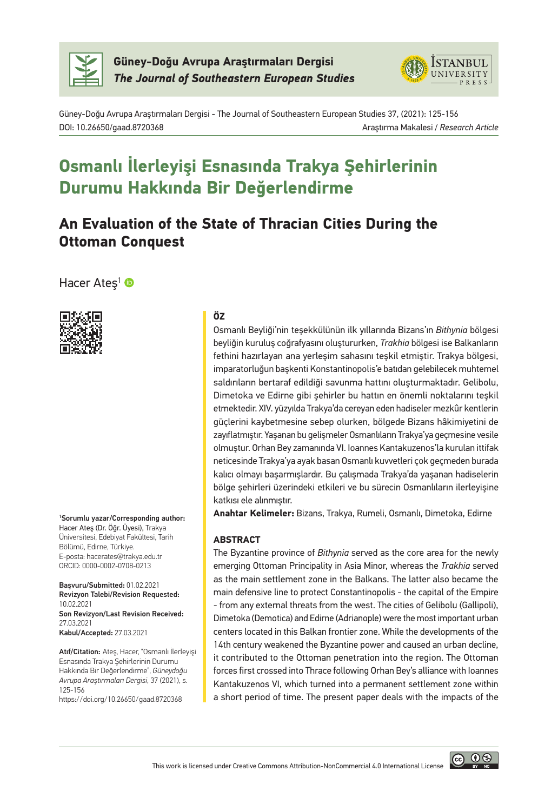

**Güney-Doğu Avrupa Araştırmaları Dergisi** *The Journal of Southeastern European Studies*



Güney-Doğu Avrupa Araştırmaları Dergisi - The Journal of Southeastern European Studies 37, (2021): 125-156 DOI: 10.26650/gaad.8720368 Araştırma Makalesi / *Research Article*

# **Osmanlı İlerleyişi Esnasında Trakya Şehirlerinin Durumu Hakkında Bir Değerlendirme**

## **An Evaluation of the State of Thracian Cities During the Ottoman Conquest**

Hacer Ateş<sup>1</sup> ®



1 Sorumlu yazar/Corresponding author: Hacer Ateş (Dr. Öğr. Üyesi), Trakya Üniversitesi, Edebiyat Fakültesi, Tarih Bölümü, Edirne, Türkiye. E-posta: hacerates@trakya.edu.tr ORCID: 0000-0002-0708-0213

Başvuru/Submitted: 01.02.2021 Revizyon Talebi/Revision Requested: 10.02.2021 Son Revizyon/Last Revision Received: 27.03.2021 Kabul/Accepted: 27.03.2021

Atıf/Citation: Ateş, Hacer, "Osmanlı İlerleyişi Esnasında Trakya Şehirlerinin Durumu Hakkında Bir Değerlendirme", *Güneydoğu Avrupa Araştırmaları Dergisi*, 37 (2021), s. 125-156

https://doi.org/10.26650/gaad.8720368

#### **ÖZ**

Osmanlı Beyliği'nin teşekkülünün ilk yıllarında Bizans'ın *Bithynia* bölgesi beyliğin kuruluş coğrafyasını oluştururken, *Trakhia* bölgesi ise Balkanların fethini hazırlayan ana yerleşim sahasını teşkil etmiştir. Trakya bölgesi, imparatorluğun başkenti Konstantinopolis'e batıdan gelebilecek muhtemel saldırıların bertaraf edildiği savunma hattını oluşturmaktadır. Gelibolu, Dimetoka ve Edirne gibi şehirler bu hattın en önemli noktalarını teşkil etmektedir. XIV. yüzyılda Trakya'da cereyan eden hadiseler mezkûr kentlerin güçlerini kaybetmesine sebep olurken, bölgede Bizans hâkimiyetini de zayıflatmıştır. Yaşanan bu gelişmeler Osmanlıların Trakya'ya geçmesine vesile olmuştur. Orhan Bey zamanında VI. Ioannes Kantakuzenos'la kurulan ittifak neticesinde Trakya'ya ayak basan Osmanlı kuvvetleri çok geçmeden burada kalıcı olmayı başarmışlardır. Bu çalışmada Trakya'da yaşanan hadiselerin bölge şehirleri üzerindeki etkileri ve bu sürecin Osmanlıların ilerleyişine katkısı ele alınmıştır.

**Anahtar Kelimeler:** Bizans, Trakya, Rumeli, Osmanlı, Dimetoka, Edirne

#### **ABSTRACT**

The Byzantine province of *Bithynia* served as the core area for the newly emerging Ottoman Principality in Asia Minor, whereas the *Trakhia* served as the main settlement zone in the Balkans. The latter also became the main defensive line to protect Constantinopolis - the capital of the Empire - from any external threats from the west. The cities of Gelibolu (Gallipoli), Dimetoka (Demotica) and Edirne (Adrianople) were the most important urban centers located in this Balkan frontier zone. While the developments of the 14th century weakened the Byzantine power and caused an urban decline, it contributed to the Ottoman penetration into the region. The Ottoman forces first crossed into Thrace following Orhan Bey's alliance with Ioannes Kantakuzenos VI, which turned into a permanent settlement zone within a short period of time. The present paper deals with the impacts of the

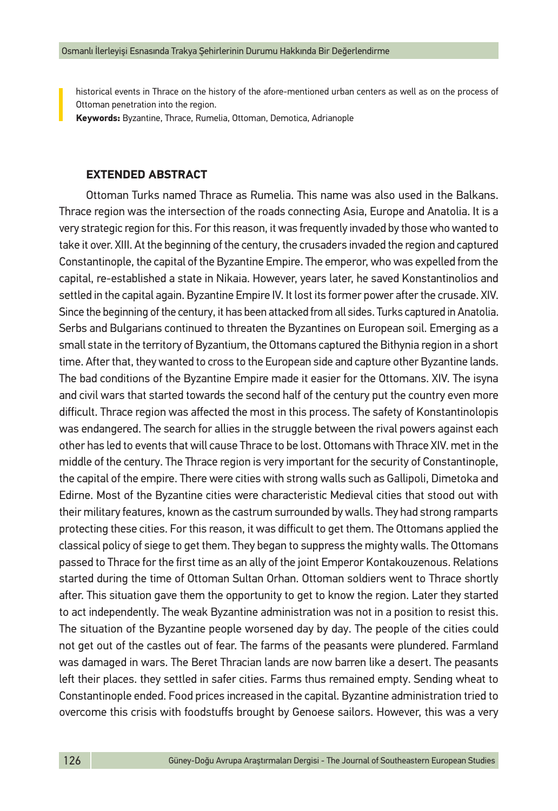historical events in Thrace on the history of the afore-mentioned urban centers as well as on the process of Ottoman penetration into the region.

**Keywords:** Byzantine, Thrace, Rumelia, Ottoman, Demotica, Adrianople

## **EXTENDED ABSTRACT**

Ottoman Turks named Thrace as Rumelia. This name was also used in the Balkans. Thrace region was the intersection of the roads connecting Asia, Europe and Anatolia. It is a very strategic region for this. For this reason, it was frequently invaded by those who wanted to take it over. XIII. At the beginning of the century, the crusaders invaded the region and captured Constantinople, the capital of the Byzantine Empire. The emperor, who was expelled from the capital, re-established a state in Nikaia. However, years later, he saved Konstantinolios and settled in the capital again. Byzantine Empire IV. It lost its former power after the crusade. XIV. Since the beginning of the century, it has been attacked from all sides. Turks captured in Anatolia. Serbs and Bulgarians continued to threaten the Byzantines on European soil. Emerging as a small state in the territory of Byzantium, the Ottomans captured the Bithynia region in a short time. After that, they wanted to cross to the European side and capture other Byzantine lands. The bad conditions of the Byzantine Empire made it easier for the Ottomans. XIV. The isyna and civil wars that started towards the second half of the century put the country even more difficult. Thrace region was affected the most in this process. The safety of Konstantinolopis was endangered. The search for allies in the struggle between the rival powers against each other has led to events that will cause Thrace to be lost. Ottomans with Thrace XIV. met in the middle of the century. The Thrace region is very important for the security of Constantinople, the capital of the empire. There were cities with strong walls such as Gallipoli, Dimetoka and Edirne. Most of the Byzantine cities were characteristic Medieval cities that stood out with their military features, known as the castrum surrounded by walls. They had strong ramparts protecting these cities. For this reason, it was difficult to get them. The Ottomans applied the classical policy of siege to get them. They began to suppress the mighty walls. The Ottomans passed to Thrace for the first time as an ally of the joint Emperor Kontakouzenous. Relations started during the time of Ottoman Sultan Orhan. Ottoman soldiers went to Thrace shortly after. This situation gave them the opportunity to get to know the region. Later they started to act independently. The weak Byzantine administration was not in a position to resist this. The situation of the Byzantine people worsened day by day. The people of the cities could not get out of the castles out of fear. The farms of the peasants were plundered. Farmland was damaged in wars. The Beret Thracian lands are now barren like a desert. The peasants left their places. they settled in safer cities. Farms thus remained empty. Sending wheat to Constantinople ended. Food prices increased in the capital. Byzantine administration tried to overcome this crisis with foodstuffs brought by Genoese sailors. However, this was a very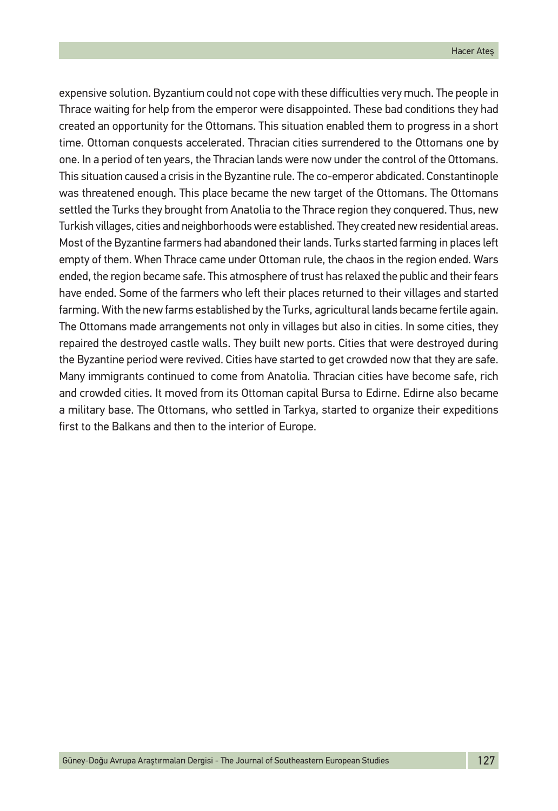expensive solution. Byzantium could not cope with these difficulties very much. The people in Thrace waiting for help from the emperor were disappointed. These bad conditions they had created an opportunity for the Ottomans. This situation enabled them to progress in a short time. Ottoman conquests accelerated. Thracian cities surrendered to the Ottomans one by one. In a period of ten years, the Thracian lands were now under the control of the Ottomans. This situation caused a crisis in the Byzantine rule. The co-emperor abdicated. Constantinople was threatened enough. This place became the new target of the Ottomans. The Ottomans settled the Turks they brought from Anatolia to the Thrace region they conquered. Thus, new Turkish villages, cities and neighborhoods were established. They created new residential areas. Most of the Byzantine farmers had abandoned their lands. Turks started farming in places left empty of them. When Thrace came under Ottoman rule, the chaos in the region ended. Wars ended, the region became safe. This atmosphere of trust has relaxed the public and their fears have ended. Some of the farmers who left their places returned to their villages and started farming. With the new farms established by the Turks, agricultural lands became fertile again. The Ottomans made arrangements not only in villages but also in cities. In some cities, they repaired the destroyed castle walls. They built new ports. Cities that were destroyed during the Byzantine period were revived. Cities have started to get crowded now that they are safe. Many immigrants continued to come from Anatolia. Thracian cities have become safe, rich and crowded cities. It moved from its Ottoman capital Bursa to Edirne. Edirne also became a military base. The Ottomans, who settled in Tarkya, started to organize their expeditions first to the Balkans and then to the interior of Europe.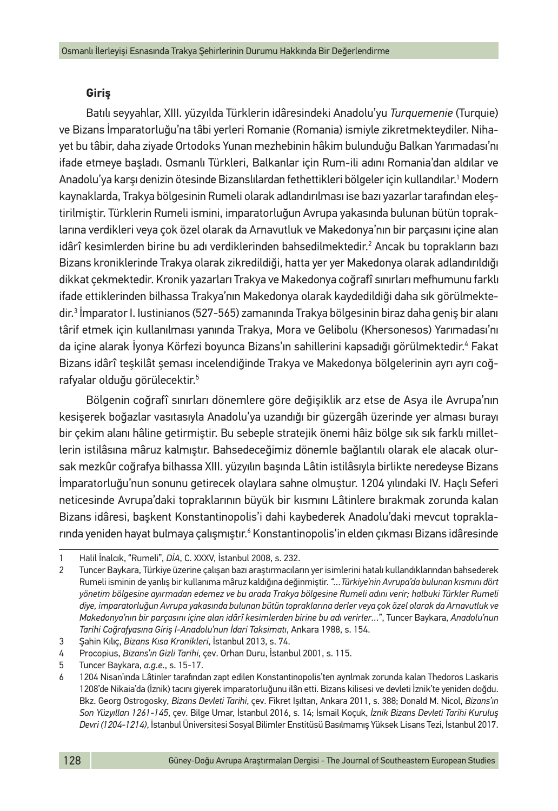## **Giriş**

Batılı seyyahlar, XIII. yüzyılda Türklerin idâresindeki Anadolu'yu *Turquemenie* (Turquie) ve Bizans İmparatorluğu'na tâbi yerleri Romanie (Romania) ismiyle zikretmekteydiler. Nihayet bu tâbir, daha ziyade Ortodoks Yunan mezhebinin hâkim bulunduğu Balkan Yarımadası'nı ifade etmeye başladı. Osmanlı Türkleri, Balkanlar için Rum-ili adını Romania'dan aldılar ve Anadolu'ya karşı denizin ötesinde Bizanslılardan fethettikleri bölgeler için kullandılar.' Modern kaynaklarda, Trakya bölgesinin Rumeli olarak adlandırılması ise bazı yazarlar tarafından eleştirilmiştir. Türklerin Rumeli ismini, imparatorluğun Avrupa yakasında bulunan bütün topraklarına verdikleri veya çok özel olarak da Arnavutluk ve Makedonya'nın bir parçasını içine alan idârî kesimlerden birine bu adı verdiklerinden bahsedilmektedir.2 Ancak bu toprakların bazı Bizans kroniklerinde Trakya olarak zikredildiği, hatta yer yer Makedonya olarak adlandırıldığı dikkat çekmektedir. Kronik yazarları Trakya ve Makedonya coğrafî sınırları mefhumunu farklı ifade ettiklerinden bilhassa Trakya'nın Makedonya olarak kaydedildiği daha sık görülmektedir.3 İmparator I. Iustinianos (527-565) zamanında Trakya bölgesinin biraz daha geniş bir alanı târif etmek için kullanılması yanında Trakya, Mora ve Gelibolu (Khersonesos) Yarımadası'nı da içine alarak Iyonya Körfezi boyunca Bizans'ın sahillerini kapsadığı görülmektedir.4 Fakat Bizans idârî teşkilât şeması incelendiğinde Trakya ve Makedonya bölgelerinin ayrı ayrı coğrafyalar olduğu görülecektir.5

Bölgenin coğrafî sınırları dönemlere göre değişiklik arz etse de Asya ile Avrupa'nın kesişerek boğazlar vasıtasıyla Anadolu'ya uzandığı bir güzergâh üzerinde yer alması burayı bir çekim alanı hâline getirmiştir. Bu sebeple stratejik önemi hâiz bölge sık sık farklı milletlerin istilâsına mâruz kalmıştır. Bahsedeceğimiz dönemle bağlantılı olarak ele alacak olursak mezkûr coğrafya bilhassa XIII. yüzyılın başında Lâtin istilâsıyla birlikte neredeyse Bizans İmparatorluğu'nun sonunu getirecek olaylara sahne olmuştur. 1204 yılındaki IV. Haçlı Seferi neticesinde Avrupa'daki topraklarının büyük bir kısmını Lâtinlere bırakmak zorunda kalan Bizans idâresi, başkent Konstantinopolis'i dahi kaybederek Anadolu'daki mevcut topraklarında yeniden hayat bulmaya çalışmıştır.<sup>6</sup> Konstantinopolis'in elden çıkması Bizans idâresinde

<sup>1</sup> Halil İnalcık, "Rumeli", *DİA*, C. XXXV, İstanbul 2008, s. 232.

<sup>2</sup> Tuncer Baykara, Türkiye üzerine çalışan bazı araştırmacıların yer isimlerini hatalı kullandıklarından bahsederek Rumeli isminin de yanlış bir kullanıma mâruz kaldığına değinmiştir. *"…Türkiye'nin Avrupa'da bulunan kısmını dört yönetim bölgesine ayırmadan edemez ve bu arada Trakya bölgesine Rumeli adını verir; halbuki Türkler Rumeli diye, imparatorluğun Avrupa yakasında bulunan bütün topraklarına derler veya çok özel olarak da Arnavutluk ve Makedonya'nın bir parçasını içine alan idârî kesimlerden birine bu adı verirler…*", Tuncer Baykara, *Anadolu'nun Tarihi Coğrafyasına Giriş I-Anadolu'nun İdari Taksimatı*, Ankara 1988, s. 154.

<sup>3</sup> Şahin Kılıç, *Bizans Kısa Kronikleri*, İstanbul 2013, s. 74.

<sup>4</sup> Procopius, *Bizans'ın Gizli Tarihi*, çev. Orhan Duru, İstanbul 2001, s. 115.

<sup>5</sup> Tuncer Baykara, *a.g.e.*, s. 15-17.

<sup>6</sup> 1204 Nisan'ında Lâtinler tarafından zapt edilen Konstantinopolis'ten ayrılmak zorunda kalan Thedoros Laskaris 1208'de Nikaia'da (İznik) tacını giyerek imparatorluğunu ilân etti. Bizans kilisesi ve devleti İznik'te yeniden doğdu. Bkz. Georg Ostrogosky, *Bizans Devleti Tarihi*, çev. Fikret Işıltan, Ankara 2011, s. 388; Donald M. Nicol, *Bizans'ın Son Yüzyılları 1261-145*, çev. Bilge Umar, İstanbul 2016, s. 14; İsmail Koçuk, *İznik Bizans Devleti Tarihi Kuruluş Devri (1204-1214)*, İstanbul Üniversitesi Sosyal Bilimler Enstitüsü Basılmamış Yüksek Lisans Tezi, İstanbul 2017.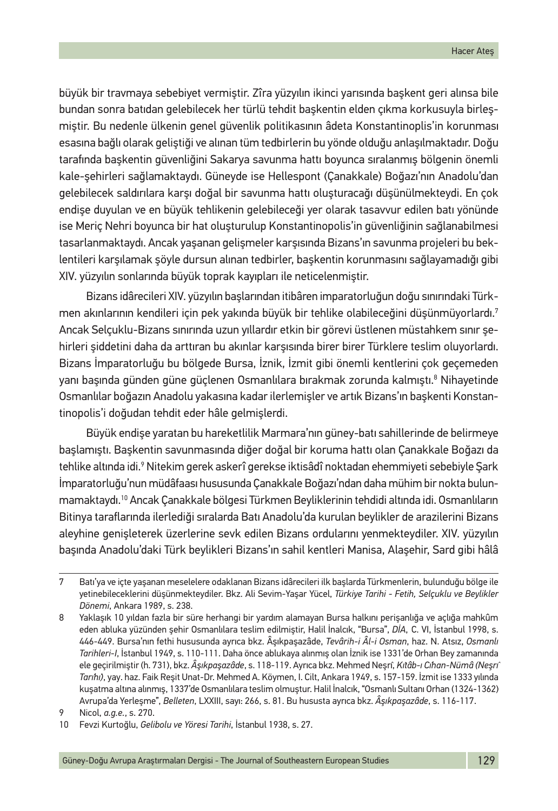büyük bir travmaya sebebiyet vermiştir. Zîra yüzyılın ikinci yarısında başkent geri alınsa bile bundan sonra batıdan gelebilecek her türlü tehdit başkentin elden çıkma korkusuyla birleşmiştir. Bu nedenle ülkenin genel güvenlik politikasının âdeta Konstantinoplis'in korunması esasına bağlı olarak geliştiği ve alınan tüm tedbirlerin bu yönde olduğu anlaşılmaktadır. Doğu tarafında başkentin güvenliğini Sakarya savunma hattı boyunca sıralanmış bölgenin önemli kale-şehirleri sağlamaktaydı. Güneyde ise Hellespont (Çanakkale) Boğazı'nın Anadolu'dan gelebilecek saldırılara karşı doğal bir savunma hattı oluşturacağı düşünülmekteydi. En çok endişe duyulan ve en büyük tehlikenin gelebileceği yer olarak tasavvur edilen batı yönünde ise Meriç Nehri boyunca bir hat oluşturulup Konstantinopolis'in güvenliğinin sağlanabilmesi tasarlanmaktaydı. Ancak yaşanan gelişmeler karşısında Bizans'ın savunma projeleri bu beklentileri karşılamak şöyle dursun alınan tedbirler, başkentin korunmasını sağlayamadığı gibi XIV. yüzyılın sonlarında büyük toprak kayıpları ile neticelenmiştir.

Bizans idârecileri XIV. yüzyılın başlarından itibâren imparatorluğun doğu sınırındaki Türkmen akınlarının kendileri için pek yakında büyük bir tehlike olabileceğini düşünmüyorlardı.7 Ancak Selçuklu-Bizans sınırında uzun yıllardır etkin bir görevi üstlenen müstahkem sınır şehirleri şiddetini daha da arttıran bu akınlar karşısında birer birer Türklere teslim oluyorlardı. Bizans İmparatorluğu bu bölgede Bursa, İznik, İzmit gibi önemli kentlerini çok geçemeden yanı başında günden güne güçlenen Osmanlılara bırakmak zorunda kalmıştı.<sup>8</sup> Nihayetinde Osmanlılar boğazın Anadolu yakasına kadar ilerlemişler ve artık Bizans'ın başkenti Konstantinopolis'i doğudan tehdit eder hâle gelmişlerdi.

Büyük endişe yaratan bu hareketlilik Marmara'nın güney-batı sahillerinde de belirmeye başlamıştı. Başkentin savunmasında diğer doğal bir koruma hattı olan Çanakkale Boğazı da tehlike altında idi.? Nitekim gerek askerî gerekse iktisâdî noktadan ehemmiyeti sebebiyle Şark İmparatorluğu'nun müdâfaası hususunda Çanakkale Boğazı'ndan daha mühim bir nokta bulunmamaktaydı.10 Ancak Çanakkale bölgesi Türkmen Beyliklerinin tehdidi altında idi. Osmanlıların Bitinya taraflarında ilerlediği sıralarda Batı Anadolu'da kurulan beylikler de arazilerini Bizans aleyhine genişleterek üzerlerine sevk edilen Bizans ordularını yenmekteydiler. XIV. yüzyılın başında Anadolu'daki Türk beylikleri Bizans'ın sahil kentleri Manisa, Alaşehir, Sard gibi hâlâ

<sup>7</sup> Batı'ya ve içte yaşanan meselelere odaklanan Bizans idârecileri ilk başlarda Türkmenlerin, bulunduğu bölge ile yetinebileceklerini düşünmekteydiler. Bkz. Ali Sevim-Yaşar Yücel, *Türkiye Tarihi - Fetih, Selçuklu ve Beylikler Dönemi*, Ankara 1989, s. 238.

<sup>8</sup> Yaklaşık 10 yıldan fazla bir süre herhangi bir yardım alamayan Bursa halkını perişanlığa ve açlığa mahkûm eden abluka yüzünden şehir Osmanlılara teslim edilmiştir, Halil İnalcık, "Bursa", *DİA*, C. VI, İstanbul 1998, s. 446-449. Bursa'nın fethi hususunda ayrıca bkz. Âşıkpaşazâde, *Tevârih-i Âl-i Osman*, haz. N. Atsız, *Osmanlı Tarihleri*-*I*, İstanbul 1949, s. 110-111. Daha önce ablukaya alınmış olan İznik ise 1331'de Orhan Bey zamanında ele geçirilmiştir (h. 731), bkz. *Âşıkpaşazâde*, s. 118-119. Ayrıca bkz. Mehmed Neşrı̂, *Kı̇tâb-ı Cı̇han-Nümâ (Neşrı̂ Tarı̇hı̇)*, yay. haz. Faik Reşit Unat-Dr. Mehmed A. Köymen, I. Cilt, Ankara 1949, s. 157-159. İzmit ise 1333 yılında kuşatma altına alınmış, 1337'de Osmanlılara teslim olmuştur. Halil İnalcık, "Osmanlı Sultanı Orhan (1324-1362) Avrupa'da Yerleşme", *Belleten*, LXXIII, sayı: 266, s. 81. Bu hususta ayrıca bkz. *Âşıkpaşazâde*, s. 116-117.

<sup>9</sup> Nicol, *a.g.e.*, s. 270.

<sup>10</sup> Fevzi Kurtoğlu, *Gelibolu ve Yöresi Tarihi*, İstanbul 1938, s. 27.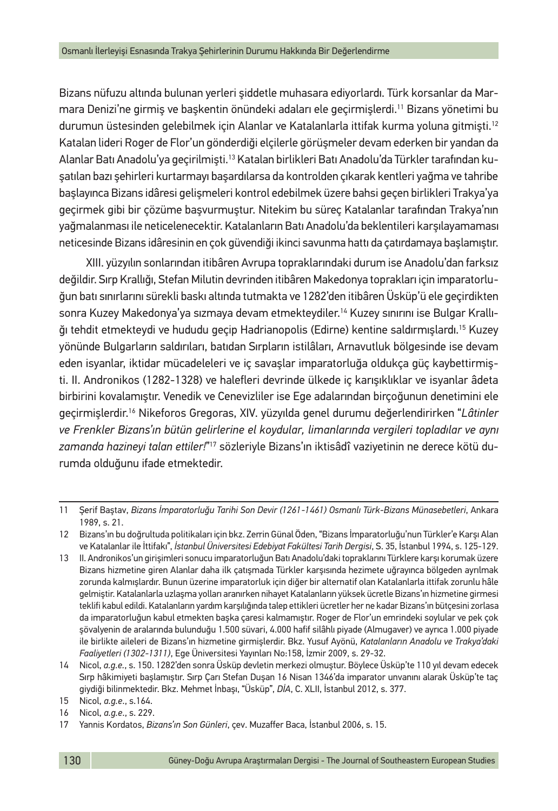Bizans nüfuzu altında bulunan yerleri şiddetle muhasara ediyorlardı. Türk korsanlar da Marmara Denizi'ne girmiş ve başkentin önündeki adaları ele geçirmişlerdi.11 Bizans yönetimi bu durumun üstesinden gelebilmek için Alanlar ve Katalanlarla ittifak kurma yoluna gitmişti.12 Katalan lideri Roger de Flor'un gönderdiği elçilerle görüşmeler devam ederken bir yandan da Alanlar Batı Anadolu'ya geçirilmişti.13 Katalan birlikleri Batı Anadolu'da Türkler tarafından kuşatılan bazı şehirleri kurtarmayı başardılarsa da kontrolden çıkarak kentleri yağma ve tahribe başlayınca Bizans idâresi gelişmeleri kontrol edebilmek üzere bahsi geçen birlikleri Trakya'ya geçirmek gibi bir çözüme başvurmuştur. Nitekim bu süreç Katalanlar tarafından Trakya'nın yağmalanması ile neticelenecektir. Katalanların Batı Anadolu'da beklentileri karşılayamaması neticesinde Bizans idâresinin en çok güvendiği ikinci savunma hattı da çatırdamaya başlamıştır.

XIII. yüzyılın sonlarından itibâren Avrupa topraklarındaki durum ise Anadolu'dan farksız değildir. Sırp Krallığı, Stefan Milutin devrinden itibâren Makedonya toprakları için imparatorluğun batı sınırlarını sürekli baskı altında tutmakta ve 1282'den itibâren Üsküp'ü ele geçirdikten sonra Kuzey Makedonya'ya sızmaya devam etmekteydiler.<sup>14</sup> Kuzey sınırını ise Bulgar Krallığı tehdit etmekteydi ve hududu geçip Hadrianopolis (Edirne) kentine saldırmışlardı.15 Kuzey yönünde Bulgarların saldırıları, batıdan Sırpların istilâları, Arnavutluk bölgesinde ise devam eden isyanlar, iktidar mücadeleleri ve iç savaşlar imparatorluğa oldukça güç kaybettirmişti. II. Andronikos (1282-1328) ve halefleri devrinde ülkede iç karışıklıklar ve isyanlar âdeta birbirini kovalamıştır. Venedik ve Cenevizliler ise Ege adalarından birçoğunun denetimini ele geçirmişlerdir.16 Nikeforos Gregoras, XIV. yüzyılda genel durumu değerlendirirken "*Lâtinler ve Frenkler Bizans'ın bütün gelirlerine el koydular, limanlarında vergileri topladılar ve aynı zamanda hazineyi talan ettiler!*"'<sup>7</sup> sözleriyle Bizans'ın iktisâdî vaziyetinin ne derece kötü durumda olduğunu ifade etmektedir.

<sup>11</sup> Şerif Baştav, *Bizans İmparatorluğu Tarihi Son Devir (1261-1461) Osmanlı Türk-Bizans Münasebetleri*, Ankara 1989, s. 21.

<sup>12</sup> Bizans'ın bu doğrultuda politikaları için bkz. Zerrin Günal Öden, "Bizans İmparatorluğu'nun Türkler'e Karşı Alan ve Katalanlar ile İttifakı", *İstanbul Üniversitesi Edebiyat Fakültesi Tarih Dergisi*, S. 35, İstanbul 1994, s. 125-129.

<sup>13</sup> II. Andronikos'un girişimleri sonucu imparatorluğun Batı Anadolu'daki topraklarını Türklere karşı korumak üzere Bizans hizmetine giren Alanlar daha ilk çatışmada Türkler karşısında hezimete uğrayınca bölgeden ayrılmak zorunda kalmışlardır. Bunun üzerine imparatorluk için diğer bir alternatif olan Katalanlarla ittifak zorunlu hâle gelmiştir. Katalanlarla uzlaşma yolları aranırken nihayet Katalanların yüksek ücretle Bizans'ın hizmetine girmesi teklifi kabul edildi. Katalanların yardım karşılığında talep ettikleri ücretler her ne kadar Bizans'ın bütçesini zorlasa da imparatorluğun kabul etmekten başka çaresi kalmamıştır. Roger de Flor'un emrindeki soylular ve pek çok şövalyenin de aralarında bulunduğu 1.500 süvari, 4.000 hafif silâhlı piyade (Almugaver) ve ayrıca 1.000 piyade ile birlikte aileleri de Bizans'ın hizmetine girmişlerdir. Bkz. Yusuf Ayönü, *Katalanların Anadolu ve Trakya'daki Faaliyetleri (1302-1311)*, Ege Üniversitesi Yayınları No:158, İzmir 2009, s. 29-32.

<sup>14</sup> Nicol, *a.g.e.*, s. 150. 1282'den sonra Üsküp devletin merkezi olmuştur. Böylece Üsküp'te 110 yıl devam edecek Sırp hâkimiyeti başlamıştır. Sırp Çarı Stefan Duşan 16 Nisan 1346'da imparator unvanını alarak Üsküp'te taç giydiği bilinmektedir. Bkz. Mehmet İnbaşı, "Üsküp", *DİA*, C. XLII, İstanbul 2012, s. 377.

<sup>15</sup> Nicol, *a.g.e*., s.164.

<sup>16</sup> Nicol, *a.g.e*., s. 229.

<sup>17</sup> Yannis Kordatos, *Bizans'ın Son Günleri*, çev. Muzaffer Baca, İstanbul 2006, s. 15.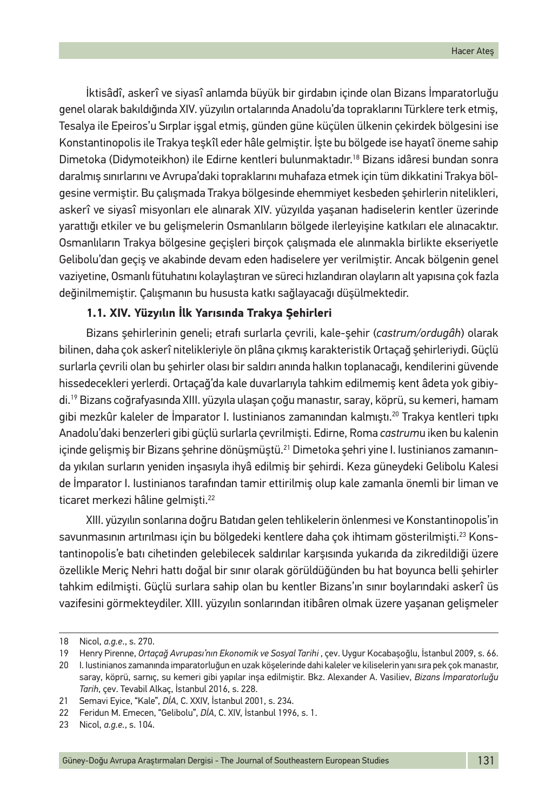İktisâdî, askerî ve siyasî anlamda büyük bir girdabın içinde olan Bizans İmparatorluğu genel olarak bakıldığında XIV. yüzyılın ortalarında Anadolu'da topraklarını Türklere terk etmiş, Tesalya ile Epeiros'u Sırplar işgal etmiş, günden güne küçülen ülkenin çekirdek bölgesini ise Konstantinopolis ile Trakya teşkîl eder hâle gelmiştir. İşte bu bölgede ise hayatî öneme sahip Dimetoka (Didymoteikhon) ile Edirne kentleri bulunmaktadır.18 Bizans idâresi bundan sonra daralmış sınırlarını ve Avrupa'daki topraklarını muhafaza etmek için tüm dikkatini Trakya bölgesine vermiştir. Bu çalışmada Trakya bölgesinde ehemmiyet kesbeden şehirlerin nitelikleri, askerî ve siyasî misyonları ele alınarak XIV. yüzyılda yaşanan hadiselerin kentler üzerinde yarattığı etkiler ve bu gelişmelerin Osmanlıların bölgede ilerleyişine katkıları ele alınacaktır. Osmanlıların Trakya bölgesine geçişleri birçok çalışmada ele alınmakla birlikte ekseriyetle Gelibolu'dan geçiş ve akabinde devam eden hadiselere yer verilmiştir. Ancak bölgenin genel vaziyetine, Osmanlı fütuhatını kolaylaştıran ve süreci hızlandıran olayların alt yapısına çok fazla değinilmemiştir. Çalışmanın bu hususta katkı sağlayacağı düşülmektedir.

## **1.1. XIV. Yüzyılın İlk Yarısında Trakya Şehirleri**

Bizans şehirlerinin geneli; etrafı surlarla çevrili, kale-şehir (*castrum/ordugâh*) olarak bilinen, daha çok askerî nitelikleriyle ön plâna çıkmış karakteristik Ortaçağ şehirleriydi. Güçlü surlarla çevrili olan bu şehirler olası bir saldırı anında halkın toplanacağı, kendilerini güvende hissedecekleri yerlerdi. Ortaçağ'da kale duvarlarıyla tahkim edilmemiş kent âdeta yok gibiydi.19 Bizans coğrafyasında XIII. yüzyıla ulaşan çoğu manastır, saray, köprü, su kemeri, hamam gibi mezkûr kaleler de İmparator I. Iustinianos zamanından kalmıştı.20 Trakya kentleri tıpkı Anadolu'daki benzerleri gibi güçlü surlarla çevrilmişti. Edirne, Roma *castrum*u iken bu kalenin içinde gelişmiş bir Bizans şehrine dönüşmüştü.<sup>21</sup> Dimetoka şehri yine I. Iustinianos zamanında yıkılan surların yeniden inşasıyla ihyâ edilmiş bir şehirdi. Keza güneydeki Gelibolu Kalesi de İmparator I. Iustinianos tarafından tamir ettirilmiş olup kale zamanla önemli bir liman ve ticaret merkezi hâline gelmişti.<sup>22</sup>

XIII. yüzyılın sonlarına doğru Batıdan gelen tehlikelerin önlenmesi ve Konstantinopolis'in savunmasının artırılması için bu bölgedeki kentlere daha çok ihtimam gösterilmişti.23 Konstantinopolis'e batı cihetinden gelebilecek saldırılar karşısında yukarıda da zikredildiği üzere özellikle Meriç Nehri hattı doğal bir sınır olarak görüldüğünden bu hat boyunca belli şehirler tahkim edilmişti. Güçlü surlara sahip olan bu kentler Bizans'ın sınır boylarındaki askerî üs vazifesini görmekteydiler. XIII. yüzyılın sonlarından itibâren olmak üzere yaşanan gelişmeler

<sup>18</sup> Nicol, *a.g.e*., s. 270.

<sup>19</sup> Henry Pirenne, *Ortaçağ Avrupası'nın Ekonomik ve Sosyal Tarihi* , çev. Uygur Kocabaşoğlu, İstanbul 2009, s. 66.

<sup>20</sup> I. Iustinianos zamanında imparatorluğun en uzak köşelerinde dahi kaleler ve kiliselerin yanı sıra pek çok manastır, saray, köprü, sarnıç, su kemeri gibi yapılar inşa edilmiştir. Bkz. Alexander A. Vasiliev, *Bizans İmparatorluğu Tarih*, çev. Tevabil Alkaç, İstanbul 2016, s. 228.

<sup>21</sup> Semavi Eyice, "Kale", *DİA*, C. XXIV, İstanbul 2001, s. 234.

<sup>22</sup> Feridun M. Emecen, "Gelibolu", *DİA*, C. XIV, İstanbul 1996, s. 1.

<sup>23</sup> Nicol, *a.g.e.*, s. 104.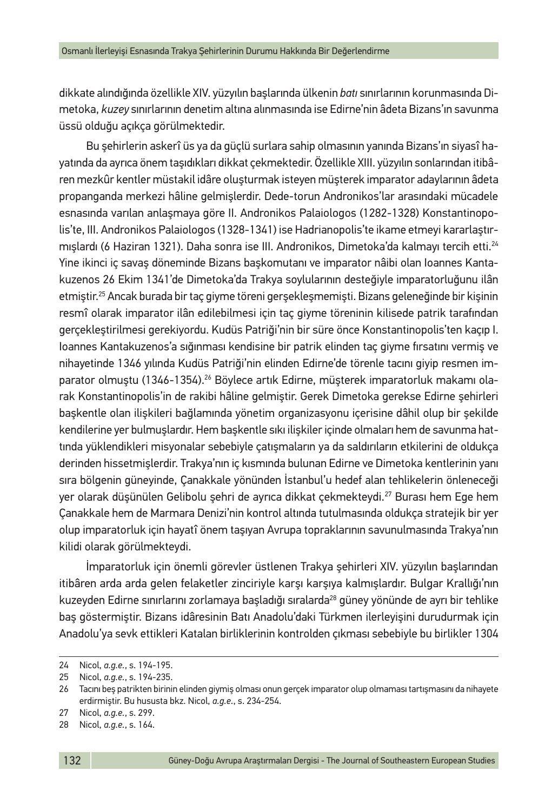dikkate alındığında özellikle XIV. yüzyılın başlarında ülkenin *batı* sınırlarının korunmasında Dimetoka, *kuzey* sınırlarının denetim altına alınmasında ise Edirne'nin âdeta Bizans'ın savunma üssü olduğu açıkça görülmektedir.

Bu şehirlerin askerî üs ya da güçlü surlara sahip olmasının yanında Bizans'ın siyasî hayatında da ayrıca önem taşıdıkları dikkat çekmektedir. Özellikle XIII. yüzyılın sonlarından itibâren mezkûr kentler müstakil idâre oluşturmak isteyen müşterek imparator adaylarının âdeta propanganda merkezi hâline gelmişlerdir. Dede-torun Andronikos'lar arasındaki mücadele esnasında varılan anlaşmaya göre II. Andronikos Palaiologos (1282-1328) Konstantinopolis'te, III. Andronikos Palaiologos (1328-1341) ise Hadrianopolis'te ikame etmeyi kararlaştırmışlardı (6 Haziran 1321). Daha sonra ise III. Andronikos, Dimetoka'da kalmayı tercih etti.24 Yine ikinci iç savaş döneminde Bizans başkomutanı ve imparator nâibi olan Ioannes Kantakuzenos 26 Ekim 1341'de Dimetoka'da Trakya soylularının desteğiyle imparatorluğunu ilân etmiştir.25 Ancak burada bir taç giyme töreni gerşekleşmemişti. Bizans geleneğinde bir kişinin resmî olarak imparator ilân edilebilmesi için taç giyme töreninin kilisede patrik tarafından gerçekleştirilmesi gerekiyordu. Kudüs Patriği'nin bir süre önce Konstantinopolis'ten kaçıp I. Ioannes Kantakuzenos'a sığınması kendisine bir patrik elinden taç giyme fırsatını vermiş ve nihayetinde 1346 yılında Kudüs Patriği'nin elinden Edirne'de törenle tacını giyip resmen imparator olmuştu (1346-1354).<sup>26</sup> Böylece artık Edirne, müşterek imparatorluk makamı olarak Konstantinopolis'in de rakibi hâline gelmiştir. Gerek Dimetoka gerekse Edirne şehirleri başkentle olan ilişkileri bağlamında yönetim organizasyonu içerisine dâhil olup bir şekilde kendilerine yer bulmuşlardır. Hem başkentle sıkı ilişkiler içinde olmaları hem de savunma hattında yüklendikleri misyonalar sebebiyle çatışmaların ya da saldırıların etkilerini de oldukça derinden hissetmişlerdir. Trakya'nın iç kısmında bulunan Edirne ve Dimetoka kentlerinin yanı sıra bölgenin güneyinde, Çanakkale yönünden İstanbul'u hedef alan tehlikelerin önleneceği yer olarak düşünülen Gelibolu şehri de ayrıca dikkat çekmekteydi.27 Burası hem Ege hem Çanakkale hem de Marmara Denizi'nin kontrol altında tutulmasında oldukça stratejik bir yer olup imparatorluk için hayatî önem taşıyan Avrupa topraklarının savunulmasında Trakya'nın kilidi olarak görülmekteydi.

İmparatorluk için önemli görevler üstlenen Trakya şehirleri XIV. yüzyılın başlarından itibâren arda arda gelen felaketler zinciriyle karşı karşıya kalmışlardır. Bulgar Krallığı'nın kuzeyden Edirne sınırlarını zorlamaya başladığı sıralarda<sup>28</sup> güney yönünde de ayrı bir tehlike baş göstermiştir. Bizans idâresinin Batı Anadolu'daki Türkmen ilerleyişini durudurmak için Anadolu'ya sevk ettikleri Katalan birliklerinin kontrolden çıkması sebebiyle bu birlikler 1304

<sup>24</sup> Nicol, *a.g.e.*, s. 194-195.

<sup>25</sup> Nicol, *a.g.e.*, s. 194-235.

<sup>26</sup> Tacını beş patrikten birinin elinden giymiş olması onun gerçek imparator olup olmaması tartışmasını da nihayete erdirmiştir. Bu hususta bkz. Nicol, *a.g.e.*, s. 234-254.

<sup>27</sup> Nicol, *a.g.e.*, s. 299.

<sup>28</sup> Nicol, *a.g.e.*, s. 164.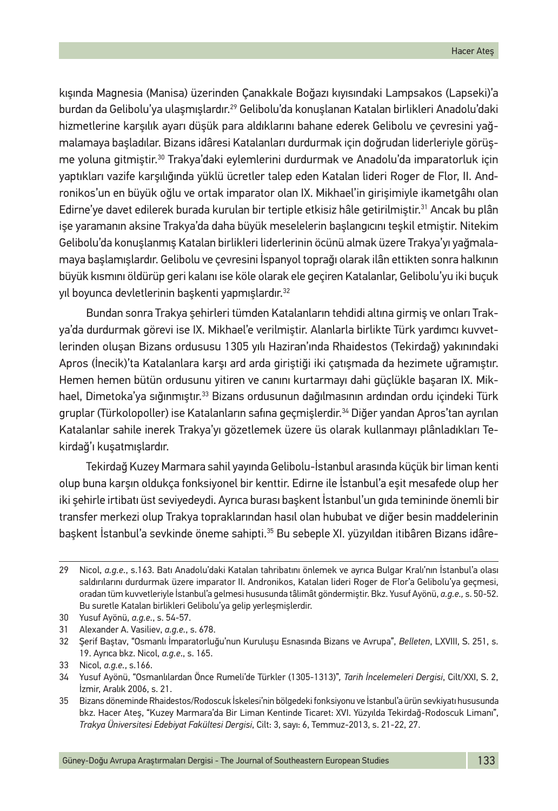kışında Magnesia (Manisa) üzerinden Çanakkale Boğazı kıyısındaki Lampsakos (Lapseki)'a burdan da Gelibolu'ya ulaşmışlardır.29 Gelibolu'da konuşlanan Katalan birlikleri Anadolu'daki hizmetlerine karşılık ayarı düşük para aldıklarını bahane ederek Gelibolu ve çevresini yağmalamaya başladılar. Bizans idâresi Katalanları durdurmak için doğrudan liderleriyle görüşme yoluna gitmiştir.30 Trakya'daki eylemlerini durdurmak ve Anadolu'da imparatorluk için yaptıkları vazife karşılığında yüklü ücretler talep eden Katalan lideri Roger de Flor, II. Andronikos'un en büyük oğlu ve ortak imparator olan IX. Mikhael'in girişimiyle ikametgâhı olan Edirne'ye davet edilerek burada kurulan bir tertiple etkisiz hâle getirilmiştir.<sup>31</sup> Ancak bu plân işe yaramanın aksine Trakya'da daha büyük meselelerin başlangıcını teşkil etmiştir. Nitekim Gelibolu'da konuşlanmış Katalan birlikleri liderlerinin öcünü almak üzere Trakya'yı yağmalamaya başlamışlardır. Gelibolu ve çevresini İspanyol toprağı olarak ilân ettikten sonra halkının büyük kısmını öldürüp geri kalanı ise köle olarak ele geçiren Katalanlar, Gelibolu'yu iki buçuk yıl boyunca devletlerinin başkenti yapmışlardır.<sup>32</sup>

Bundan sonra Trakya şehirleri tümden Katalanların tehdidi altına girmiş ve onları Trakya'da durdurmak görevi ise IX. Mikhael'e verilmiştir. Alanlarla birlikte Türk yardımcı kuvvetlerinden oluşan Bizans ordususu 1305 yılı Haziran'ında Rhaidestos (Tekirdağ) yakınındaki Apros (İnecik)'ta Katalanlara karşı ard arda giriştiği iki çatışmada da hezimete uğramıştır. Hemen hemen bütün ordusunu yitiren ve canını kurtarmayı dahi güçlükle başaran IX. Mikhael, Dimetoka'ya sığınmıştır.<sup>33</sup> Bizans ordusunun dağılmasının ardından ordu içindeki Türk gruplar (Türkolopoller) ise Katalanların safına geçmişlerdir.<sup>34</sup> Diğer yandan Apros'tan ayrılan Katalanlar sahile inerek Trakya'yı gözetlemek üzere üs olarak kullanmayı plânladıkları Tekirdağ'ı kuşatmışlardır.

Tekirdağ Kuzey Marmara sahil yayında Gelibolu-İstanbul arasında küçük bir liman kenti olup buna karşın oldukça fonksiyonel bir kenttir. Edirne ile İstanbul'a eşit mesafede olup her iki şehirle irtibatı üst seviyedeydi. Ayrıca burası başkent İstanbul'un gıda temininde önemli bir transfer merkezi olup Trakya topraklarından hasıl olan hububat ve diğer besin maddelerinin başkent İstanbul'a sevkinde öneme sahipti.35 Bu sebeple XI. yüzyıldan itibâren Bizans idâre-

<sup>29</sup> Nicol, *a.g.e.*, s.163. Batı Anadolu'daki Katalan tahribatını önlemek ve ayrıca Bulgar Kralı'nın İstanbul'a olası saldırılarını durdurmak üzere imparator II. Andronikos, Katalan lideri Roger de Flor'a Gelibolu'ya geçmesi, oradan tüm kuvvetleriyle İstanbul'a gelmesi hususunda tâlimât göndermiştir. Bkz. Yusuf Ayönü, *a.g.e.,* s. 50-52. Bu suretle Katalan birlikleri Gelibolu'ya gelip yerleşmişlerdir.

<sup>30</sup> Yusuf Ayönü, *a.g.e.*, s. 54-57.

<sup>31</sup> Alexander A. Vasiliev, *a.g.e.*, s. 678.

<sup>32</sup> Şerif Baştav, "Osmanlı İmparatorluğu'nun Kuruluşu Esnasında Bizans ve Avrupa", *Belleten*, LXVIII, S. 251, s. 19. Ayrıca bkz. Nicol, *a.g.e*., s. 165.

<sup>33</sup> Nicol, *a.g.e.*, s.166.

<sup>34</sup> Yusuf Ayönü, "Osmanlılardan Önce Rumeli'de Türkler (1305-1313)"*, Tarih İncelemeleri Dergisi*, Cilt/XXI, S. 2, İzmir, Aralık 2006, s. 21.

<sup>35</sup> Bizans döneminde Rhaidestos/Rodoscuk İskelesi'nin bölgedeki fonksiyonu ve İstanbul'a ürün sevkiyatı hususunda bkz. Hacer Ateş, "Kuzey Marmara'da Bir Liman Kentinde Ticaret: XVI. Yüzyılda Tekirdağ-Rodoscuk Limanı", *Trakya Üniversitesi Edebiyat Fakültesi Dergisi*, Cilt: 3, sayı: 6, Temmuz-2013, s. 21-22, 27.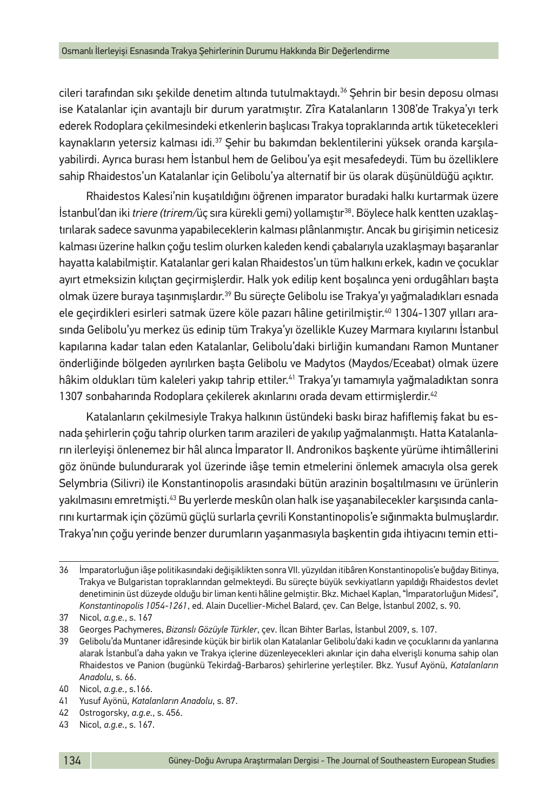cileri tarafından sıkı sekilde denetim altında tutulmaktaydı.<sup>36</sup> Sehrin bir besin deposu olması ise Katalanlar için avantajlı bir durum yaratmıştır. Zîra Katalanların 1308'de Trakya'yı terk ederek Rodoplara çekilmesindeki etkenlerin başlıcası Trakya topraklarında artık tüketecekleri kaynakların yetersiz kalması idi.37 Şehir bu bakımdan beklentilerini yüksek oranda karşılayabilirdi. Ayrıca burası hem İstanbul hem de Gelibou'ya eşit mesafedeydi. Tüm bu özelliklere sahip Rhaidestos'un Katalanlar için Gelibolu'ya alternatif bir üs olarak düşünüldüğü açıktır.

Rhaidestos Kalesi'nin kuşatıldığını öğrenen imparator buradaki halkı kurtarmak üzere İstanbul'dan iki *triere (trirem/*üç sıra kürekli gemi) yollamıştır38. Böylece halk kentten uzaklaştırılarak sadece savunma yapabileceklerin kalması plânlanmıştır. Ancak bu girişimin neticesiz kalması üzerine halkın çoğu teslim olurken kaleden kendi çabalarıyla uzaklaşmayı başaranlar hayatta kalabilmiştir. Katalanlar geri kalan Rhaidestos'un tüm halkını erkek, kadın ve çocuklar ayırt etmeksizin kılıçtan geçirmişlerdir. Halk yok edilip kent boşalınca yeni ordugâhları başta olmak üzere buraya taşınmışlardır.39 Bu süreçte Gelibolu ise Trakya'yı yağmaladıkları esnada ele geçirdikleri esirleri satmak üzere köle pazarı hâline getirilmiştir.40 1304-1307 yılları arasında Gelibolu'yu merkez üs edinip tüm Trakya'yı özellikle Kuzey Marmara kıyılarını İstanbul kapılarına kadar talan eden Katalanlar, Gelibolu'daki birliğin kumandanı Ramon Muntaner önderliğinde bölgeden ayrılırken başta Gelibolu ve Madytos (Maydos/Eceabat) olmak üzere hâkim oldukları tüm kaleleri yakıp tahrip ettiler.41 Trakya'yı tamamıyla yağmaladıktan sonra 1307 sonbaharında Rodoplara çekilerek akınlarını orada devam ettirmişlerdir.<sup>42</sup>

Katalanların çekilmesiyle Trakya halkının üstündeki baskı biraz hafiflemiş fakat bu esnada şehirlerin çoğu tahrip olurken tarım arazileri de yakılıp yağmalanmıştı. Hatta Katalanların ilerleyişi önlenemez bir hâl alınca İmparator II. Andronikos başkente yürüme ihtimâllerini göz önünde bulundurarak yol üzerinde iâşe temin etmelerini önlemek amacıyla olsa gerek Selymbria (Silivri) ile Konstantinopolis arasındaki bütün arazinin boşaltılmasını ve ürünlerin yakılmasını emretmişti.43 Bu yerlerde meskûn olan halk ise yaşanabilecekler karşısında canlarını kurtarmak için çözümü güçlü surlarla çevrili Konstantinopolis'e sığınmakta bulmuşlardır. Trakya'nın çoğu yerinde benzer durumların yaşanmasıyla başkentin gıda ihtiyacını temin etti-

<sup>36</sup> İmparatorluğun iâşe politikasındaki değişiklikten sonra VII. yüzyıldan itibâren Konstantinopolis'e buğday Bitinya, Trakya ve Bulgaristan topraklarından gelmekteydi. Bu süreçte büyük sevkiyatların yapıldığı Rhaidestos devlet denetiminin üst düzeyde olduğu bir liman kenti hâline gelmiştir. Bkz. Michael Kaplan, "İmparatorluğun Midesi", *Konstantinopolis 1054-1261*, ed. Alain Ducellier-Michel Balard, çev. Can Belge, İstanbul 2002, s. 90.

<sup>37</sup> Nicol, *a.g.e.*, s. 167

<sup>38</sup> Georges Pachymeres, *Bizanslı Gözüyle Türkler*, çev. İlcan Bihter Barlas, İstanbul 2009, s. 107.

<sup>39</sup> Gelibolu'da Muntaner idâresinde küçük bir birlik olan Katalanlar Gelibolu'daki kadın ve çocuklarını da yanlarına alarak İstanbul'a daha yakın ve Trakya içlerine düzenleyecekleri akınlar için daha elverişli konuma sahip olan Rhaidestos ve Panion (bugünkü Tekirdağ-Barbaros) şehirlerine yerleştiler. Bkz. Yusuf Ayönü, *Katalanların Anadolu*, s. 66.

<sup>40</sup> Nicol, *a.g.e.*, s.166.

<sup>41</sup> Yusuf Ayönü, *Katalanların Anadolu*, s. 87.

<sup>42</sup> Ostrogorsky, *a.g.e.*, s. 456.

<sup>43</sup> Nicol, *a.g.e.*, s. 167.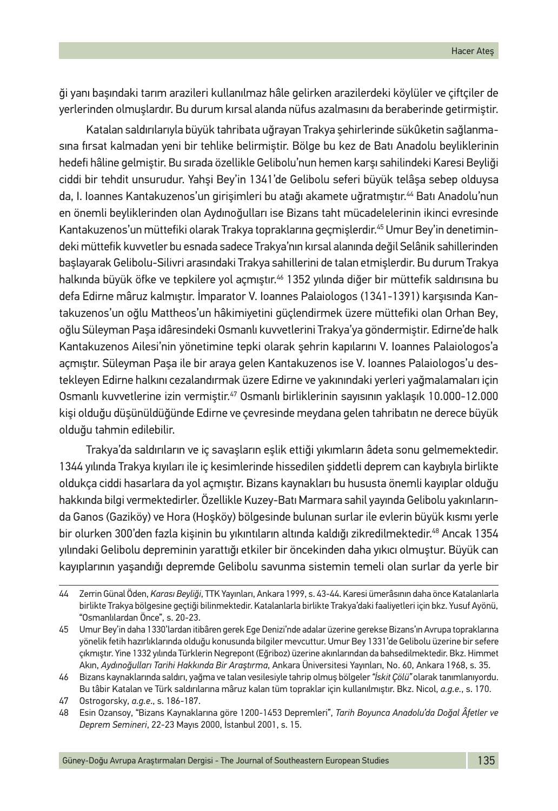ği yanı başındaki tarım arazileri kullanılmaz hâle gelirken arazilerdeki köylüler ve çiftçiler de yerlerinden olmuşlardır. Bu durum kırsal alanda nüfus azalmasını da beraberinde getirmiştir.

Katalan saldırılarıyla büyük tahribata uğrayan Trakya şehirlerinde sükûketin sağlanmasına fırsat kalmadan yeni bir tehlike belirmiştir. Bölge bu kez de Batı Anadolu beyliklerinin hedefi hâline gelmiştir. Bu sırada özellikle Gelibolu'nun hemen karşı sahilindeki Karesi Beyliği ciddi bir tehdit unsurudur. Yahşi Bey'in 1341'de Gelibolu seferi büyük telâşa sebep olduysa da, I. Ioannes Kantakuzenos'un girişimleri bu atağı akamete uğratmıştır.<sup>44</sup> Batı Anadolu'nun en önemli beyliklerinden olan Aydınoğulları ise Bizans taht mücadelelerinin ikinci evresinde Kantakuzenos'un müttefiki olarak Trakya topraklarına geçmişlerdir.45 Umur Bey'in denetimindeki müttefik kuvvetler bu esnada sadece Trakya'nın kırsal alanında değil Selânik sahillerinden başlayarak Gelibolu-Silivri arasındaki Trakya sahillerini de talan etmişlerdir. Bu durum Trakya halkında büyük öfke ve tepkilere yol açmıştır.<sup>46</sup> 1352 yılında diğer bir müttefik saldırısına bu defa Edirne mâruz kalmıştır. İmparator V. Ioannes Palaiologos (1341-1391) karşısında Kantakuzenos'un oğlu Mattheos'un hâkimiyetini güçlendirmek üzere müttefiki olan Orhan Bey, oğlu Süleyman Paşa idâresindeki Osmanlı kuvvetlerini Trakya'ya göndermiştir. Edirne'de halk Kantakuzenos Ailesi'nin yönetimine tepki olarak şehrin kapılarını V. Ioannes Palaiologos'a açmıştır. Süleyman Paşa ile bir araya gelen Kantakuzenos ise V. Ioannes Palaiologos'u destekleyen Edirne halkını cezalandırmak üzere Edirne ve yakınındaki yerleri yağmalamaları için Osmanlı kuvvetlerine izin vermiştir.47 Osmanlı birliklerinin sayısının yaklaşık 10.000-12.000 kişi olduğu düşünüldüğünde Edirne ve çevresinde meydana gelen tahribatın ne derece büyük olduğu tahmin edilebilir.

Trakya'da saldırıların ve iç savaşların eşlik ettiği yıkımların âdeta sonu gelmemektedir. 1344 yılında Trakya kıyıları ile iç kesimlerinde hissedilen şiddetli deprem can kaybıyla birlikte oldukça ciddi hasarlara da yol açmıştır. Bizans kaynakları bu hususta önemli kayıplar olduğu hakkında bilgi vermektedirler. Özellikle Kuzey-Batı Marmara sahil yayında Gelibolu yakınlarında Ganos (Gaziköy) ve Hora (Hoşköy) bölgesinde bulunan surlar ile evlerin büyük kısmı yerle bir olurken 300'den fazla kişinin bu yıkıntıların altında kaldığı zikredilmektedir.<sup>48</sup> Ancak 1354 yılındaki Gelibolu depreminin yarattığı etkiler bir öncekinden daha yıkıcı olmuştur. Büyük can kayıplarının yaşandığı depremde Gelibolu savunma sistemin temeli olan surlar da yerle bir

<sup>44</sup> Zerrin Günal Öden, *Karası Beyliği*, TTK Yayınları, Ankara 1999, s. 43-44. Karesi ümerâsının daha önce Katalanlarla birlikte Trakya bölgesine geçtiği bilinmektedir. Katalanlarla birlikte Trakya'daki faaliyetleri için bkz. Yusuf Ayönü, "Osmanlılardan Önce", s. 20-23.

<sup>45</sup> Umur Bey'in daha 1330'lardan itibâren gerek Ege Denizi'nde adalar üzerine gerekse Bizans'ın Avrupa topraklarına yönelik fetih hazırlıklarında olduğu konusunda bilgiler mevcuttur. Umur Bey 1331'de Gelibolu üzerine bir sefere çıkmıştır. Yine 1332 yılında Türklerin Negrepont (Eğriboz) üzerine akınlarından da bahsedilmektedir. Bkz. Himmet Akın, *Aydınoğulları Tarihi Hakkında Bir Araştırma*, Ankara Üniversitesi Yayınları, No. 60, Ankara 1968, s. 35.

<sup>46</sup> Bizans kaynaklarında saldırı, yağma ve talan vesilesiyle tahrip olmuş bölgeler *"İskit Çölü"* olarak tanımlanıyordu. Bu tâbir Katalan ve Türk saldırılarına mâruz kalan tüm topraklar için kullanılmıştır. Bkz. Nicol, *a.g.e.*, s. 170.

<sup>47</sup> Ostrogorsky, *a.g.e*., s. 186-187.

<sup>48</sup> Esin Ozansoy, "Bizans Kaynaklarına göre 1200-1453 Depremleri", *Tarih Boyunca Anadolu'da Doğal Âfetler ve Deprem Semineri*, 22-23 Mayıs 2000, İstanbul 2001, s. 15.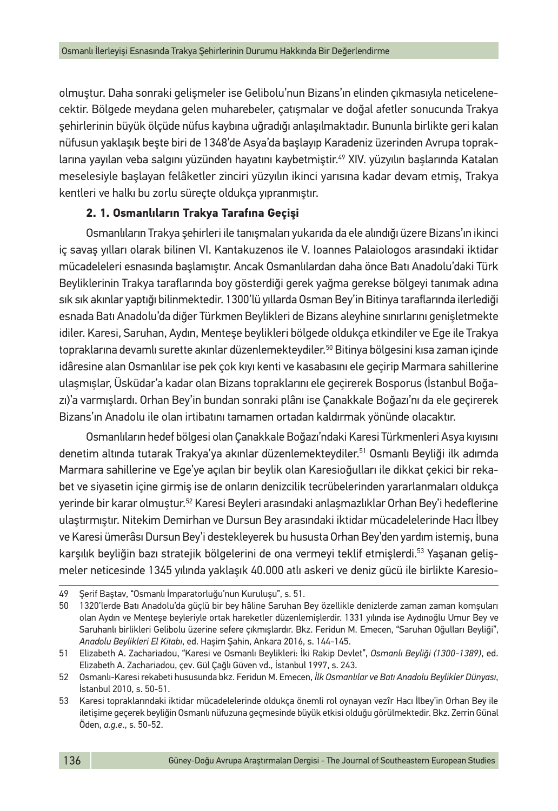olmuştur. Daha sonraki gelişmeler ise Gelibolu'nun Bizans'ın elinden çıkmasıyla neticelenecektir. Bölgede meydana gelen muharebeler, çatışmalar ve doğal afetler sonucunda Trakya şehirlerinin büyük ölçüde nüfus kaybına uğradığı anlaşılmaktadır. Bununla birlikte geri kalan nüfusun yaklaşık beşte biri de 1348'de Asya'da başlayıp Karadeniz üzerinden Avrupa topraklarına yayılan veba salgını yüzünden hayatını kaybetmiştir.<sup>49</sup> XIV. yüzyılın başlarında Katalan meselesiyle başlayan felâketler zinciri yüzyılın ikinci yarısına kadar devam etmiş, Trakya kentleri ve halkı bu zorlu süreçte oldukça yıpranmıştır.

## **2. 1. Osmanlıların Trakya Tarafına Geçişi**

Osmanlıların Trakya şehirleri ile tanışmaları yukarıda da ele alındığı üzere Bizans'ın ikinci iç savaş yılları olarak bilinen VI. Kantakuzenos ile V. Ioannes Palaiologos arasındaki iktidar mücadeleleri esnasında başlamıştır. Ancak Osmanlılardan daha önce Batı Anadolu'daki Türk Beyliklerinin Trakya taraflarında boy gösterdiği gerek yağma gerekse bölgeyi tanımak adına sık sık akınlar yaptığı bilinmektedir. 1300'lü yıllarda Osman Bey'in Bitinya taraflarında ilerlediği esnada Batı Anadolu'da diğer Türkmen Beylikleri de Bizans aleyhine sınırlarını genişletmekte idiler. Karesi, Saruhan, Aydın, Menteşe beylikleri bölgede oldukça etkindiler ve Ege ile Trakya topraklarına devamlı surette akınlar düzenlemekteydiler.<sup>50</sup> Bitinya bölgesini kısa zaman içinde idâresine alan Osmanlılar ise pek çok kıyı kenti ve kasabasını ele geçirip Marmara sahillerine ulaşmışlar, Üsküdar'a kadar olan Bizans topraklarını ele geçirerek Bosporus (İstanbul Boğazı)'a varmışlardı. Orhan Bey'in bundan sonraki plânı ise Çanakkale Boğazı'nı da ele geçirerek Bizans'ın Anadolu ile olan irtibatını tamamen ortadan kaldırmak yönünde olacaktır.

Osmanlıların hedef bölgesi olan Çanakkale Boğazı'ndaki Karesi Türkmenleri Asya kıyısını denetim altında tutarak Trakya'ya akınlar düzenlemekteydiler.51 Osmanlı Beyliği ilk adımda Marmara sahillerine ve Ege'ye açılan bir beylik olan Karesioğulları ile dikkat çekici bir rekabet ve siyasetin içine girmiş ise de onların denizcilik tecrübelerinden yararlanmaları oldukça yerinde bir karar olmuştur.52 Karesi Beyleri arasındaki anlaşmazlıklar Orhan Bey'i hedeflerine ulaştırmıştır. Nitekim Demirhan ve Dursun Bey arasındaki iktidar mücadelelerinde Hacı İlbey ve Karesi ümerâsı Dursun Bey'i destekleyerek bu hususta Orhan Bey'den yardım istemiş, buna karşılık beyliğin bazı stratejik bölgelerini de ona vermeyi teklif etmişlerdi.53 Yaşanan gelişmeler neticesinde 1345 yılında yaklaşık 40.000 atlı askeri ve deniz gücü ile birlikte Karesio-

<sup>49</sup> Şerif Baştav, "Osmanlı İmparatorluğu'nun Kuruluşu", s. 51.

<sup>50</sup> 1320'lerde Batı Anadolu'da güçlü bir bey hâline Saruhan Bey özellikle denizlerde zaman zaman komşuları olan Aydın ve Menteşe beyleriyle ortak hareketler düzenlemişlerdir. 1331 yılında ise Aydınoğlu Umur Bey ve Saruhanlı birlikleri Gelibolu üzerine sefere çıkmışlardır. Bkz. Feridun M. Emecen, "Saruhan Oğulları Beyliği", *Anadolu Beylikleri El Kitabı*, ed. Haşim Şahin, Ankara 2016, s. 144-145.

<sup>51</sup> Elizabeth A. Zachariadou, "Karesi ve Osmanlı Beylikleri: İki Rakip Devlet", *Osmanlı Beyliği (1300-1389)*, ed. Elizabeth A. Zachariadou, çev. Gül Çağlı Güven vd., İstanbul 1997, s. 243.

<sup>52</sup> Osmanlı-Karesi rekabeti hususunda bkz. Feridun M. Emecen, *İlk Osmanlılar ve Batı Anadolu Beylikler Dünyası*, İstanbul 2010, s. 50-51.

<sup>53</sup> Karesi topraklarındaki iktidar mücadelelerinde oldukça önemli rol oynayan vezîr Hacı İlbey'in Orhan Bey ile iletişime geçerek beyliğin Osmanlı nüfuzuna geçmesinde büyük etkisi olduğu görülmektedir. Bkz. Zerrin Günal Öden, *a.g.e*., s. 50-52.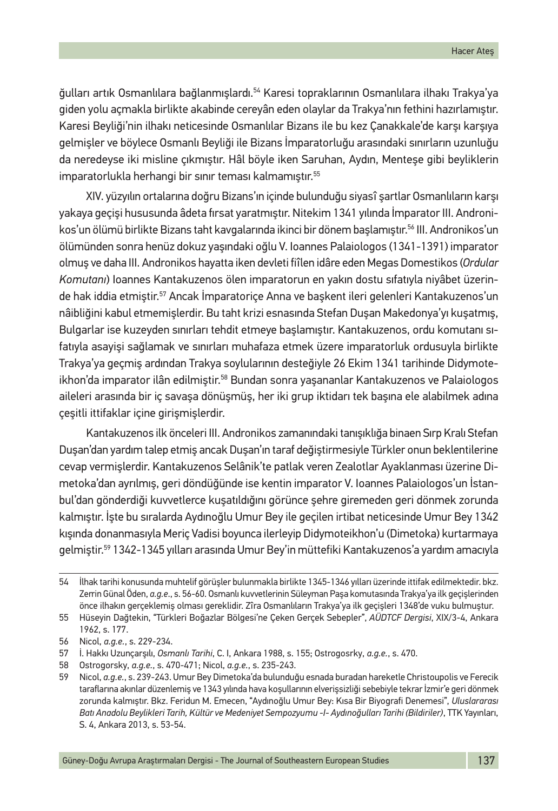ğulları artık Osmanlılara bağlanmışlardı.54 Karesi topraklarının Osmanlılara ilhakı Trakya'ya giden yolu açmakla birlikte akabinde cereyân eden olaylar da Trakya'nın fethini hazırlamıştır. Karesi Beyliği'nin ilhakı neticesinde Osmanlılar Bizans ile bu kez Çanakkale'de karşı karşıya gelmişler ve böylece Osmanlı Beyliği ile Bizans İmparatorluğu arasındaki sınırların uzunluğu da neredeyse iki misline çıkmıştır. Hâl böyle iken Saruhan, Aydın, Menteşe gibi beyliklerin imparatorlukla herhangi bir sınır teması kalmamıştır.55

XIV. yüzyılın ortalarına doğru Bizans'ın içinde bulunduğu siyasî şartlar Osmanlıların karşı yakaya geçişi hususunda âdeta fırsat yaratmıştır. Nitekim 1341 yılında İmparator III. Andronikos'un ölümü birlikte Bizans taht kavgalarında ikinci bir dönem başlamıştır.56 III. Andronikos'un ölümünden sonra henüz dokuz yaşındaki oğlu V. Ioannes Palaiologos (1341-1391) imparator olmuş ve daha III. Andronikos hayatta iken devleti fiîlen idâre eden Megas Domestikos (*Ordular Komutanı*) Ioannes Kantakuzenos ölen imparatorun en yakın dostu sıfatıyla niyâbet üzerinde hak iddia etmiştir.57 Ancak İmparatoriçe Anna ve başkent ileri gelenleri Kantakuzenos'un nâibliğini kabul etmemişlerdir. Bu taht krizi esnasında Stefan Duşan Makedonya'yı kuşatmış, Bulgarlar ise kuzeyden sınırları tehdit etmeye başlamıştır. Kantakuzenos, ordu komutanı sıfatıyla asayişi sağlamak ve sınırları muhafaza etmek üzere imparatorluk ordusuyla birlikte Trakya'ya geçmiş ardından Trakya soylularının desteğiyle 26 Ekim 1341 tarihinde Didymoteikhon'da imparator ilân edilmiştir.58 Bundan sonra yaşananlar Kantakuzenos ve Palaiologos aileleri arasında bir iç savaşa dönüşmüş, her iki grup iktidarı tek başına ele alabilmek adına çeşitli ittifaklar içine girişmişlerdir.

Kantakuzenos ilk önceleri III. Andronikos zamanındaki tanışıklığa binaen Sırp Kralı Stefan Duşan'dan yardım talep etmiş ancak Duşan'ın taraf değiştirmesiyle Türkler onun beklentilerine cevap vermişlerdir. Kantakuzenos Selânik'te patlak veren Zealotlar Ayaklanması üzerine Dimetoka'dan ayrılmış, geri döndüğünde ise kentin imparator V. Ioannes Palaiologos'un İstanbul'dan gönderdiği kuvvetlerce kuşatıldığını görünce şehre giremeden geri dönmek zorunda kalmıştır. İşte bu sıralarda Aydınoğlu Umur Bey ile geçilen irtibat neticesinde Umur Bey 1342 kışında donanmasıyla Meriç Vadisi boyunca ilerleyip Didymoteikhon'u (Dimetoka) kurtarmaya gelmiştir.59 1342-1345 yılları arasında Umur Bey'in müttefiki Kantakuzenos'a yardım amacıyla

<sup>54</sup> İlhak tarihi konusunda muhtelif görüşler bulunmakla birlikte 1345-1346 yılları üzerinde ittifak edilmektedir. bkz. Zerrin Günal Öden, *a.g.e*., s. 56-60. Osmanlı kuvvetlerinin Süleyman Paşa komutasında Trakya'ya ilk geçişlerinden önce ilhakın gerçeklemiş olması gereklidir. Zîra Osmanlıların Trakya'ya ilk geçişleri 1348'de vuku bulmuştur.

<sup>55</sup> Hüseyin Dağtekin, "Türkleri Boğazlar Bölgesi'ne Çeken Gerçek Sebepler", *AÜDTCF Dergisi*, XIX/3-4, Ankara 1962, s. 177.

<sup>56</sup> Nicol, *a.g.e.*, s. 229-234.

<sup>57</sup> İ. Hakkı Uzunçarşılı, *Osmanlı Tarihi*, C. I, Ankara 1988, s. 155; Ostrogosrky, *a.g.e.*, s. 470.

<sup>58</sup> Ostrogorsky, *a.g.e.*, s. 470-471; Nicol, *a.g.e.*, s. 235-243.

<sup>59</sup> Nicol, *a.g.e.*, s. 239-243. Umur Bey Dimetoka'da bulunduğu esnada buradan hareketle Christoupolis ve Ferecik taraflarına akınlar düzenlemiş ve 1343 yılında hava koşullarının elverişsizliği sebebiyle tekrar İzmir'e geri dönmek zorunda kalmıştır. Bkz. Feridun M. Emecen, "Aydınoğlu Umur Bey: Kısa Bir Biyografi Denemesi", *Uluslararası Batı Anadolu Beylikleri Tarih, Kültür ve Medeniyet Sempozyumu -I- Aydınoğulları Tarihi (Bildiriler)*, TTK Yayınları, S. 4, Ankara 2013, s. 53-54.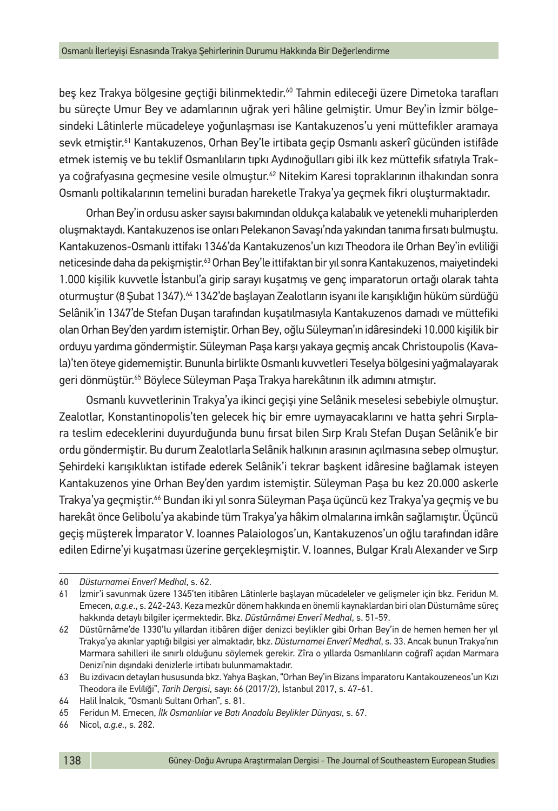bes kez Trakya bölgesine geçtiği bilinmektedir.<sup>60</sup> Tahmin edileceği üzere Dimetoka tarafları bu süreçte Umur Bey ve adamlarının uğrak yeri hâline gelmiştir. Umur Bey'in İzmir bölgesindeki Lâtinlerle mücadeleye yoğunlaşması ise Kantakuzenos'u yeni müttefikler aramaya sevk etmiştir.<sup>61</sup> Kantakuzenos, Orhan Bey'le irtibata geçip Osmanlı askerî gücünden istifâde etmek istemiş ve bu teklif Osmanlıların tıpkı Aydınoğulları gibi ilk kez müttefik sıfatıyla Trakya coğrafyasına geçmesine vesile olmuştur.<sup>62</sup> Nitekim Karesi topraklarının ilhakından sonra Osmanlı poltikalarının temelini buradan hareketle Trakya'ya geçmek fikri oluşturmaktadır.

Orhan Bey'in ordusu asker sayısı bakımından oldukça kalabalık ve yetenekli muhariplerden oluşmaktaydı. Kantakuzenos ise onları Pelekanon Savaşı'nda yakından tanıma fırsatı bulmuştu. Kantakuzenos-Osmanlı ittifakı 1346'da Kantakuzenos'un kızı Theodora ile Orhan Bey'in evliliği neticesinde daha da pekismistir.<sup>63</sup> Orhan Bey'le ittifaktan bir yıl sonra Kantakuzenos, maiyetindeki 1.000 kişilik kuvvetle İstanbul'a girip sarayı kuşatmış ve genç imparatorun ortağı olarak tahta oturmuştur (8 Şubat 1347).<sup>64</sup> 1342'de başlayan Zealotların isyanı ile karışıklığın hüküm sürdüğü Selânik'in 1347'de Stefan Duşan tarafından kuşatılmasıyla Kantakuzenos damadı ve müttefiki olan Orhan Bey'den yardım istemiştir. Orhan Bey, oğlu Süleyman'ın idâresindeki 10.000 kişilik bir orduyu yardıma göndermiştir. Süleyman Paşa karşı yakaya geçmiş ancak Christoupolis (Kavala)'ten öteye gidememiştir. Bununla birlikte Osmanlı kuvvetleri Teselya bölgesini yağmalayarak geri dönmüştür.<sup>65</sup> Böylece Süleyman Paşa Trakya harekâtının ilk adımını atmıştır.

Osmanlı kuvvetlerinin Trakya'ya ikinci geçişi yine Selânik meselesi sebebiyle olmuştur. Zealotlar, Konstantinopolis'ten gelecek hiç bir emre uymayacaklarını ve hatta şehri Sırplara teslim edeceklerini duyurduğunda bunu fırsat bilen Sırp Kralı Stefan Duşan Selânik'e bir ordu göndermiştir. Bu durum Zealotlarla Selânik halkının arasının açılmasına sebep olmuştur. Şehirdeki karışıklıktan istifade ederek Selânik'i tekrar başkent idâresine bağlamak isteyen Kantakuzenos yine Orhan Bey'den yardım istemiştir. Süleyman Paşa bu kez 20.000 askerle Trakya'ya geçmiştir.66 Bundan iki yıl sonra Süleyman Paşa üçüncü kez Trakya'ya geçmiş ve bu harekât önce Gelibolu'ya akabinde tüm Trakya'ya hâkim olmalarına imkân sağlamıştır. Üçüncü geçiş müşterek İmparator V. Ioannes Palaiologos'un, Kantakuzenos'un oğlu tarafından idâre edilen Edirne'yi kuşatması üzerine gerçekleşmiştir. V. Ioannes, Bulgar Kralı Alexander ve Sırp

<sup>60</sup> *Düsturnamei Enverî Medhal*, s. 62.

<sup>61</sup> İzmir'i savunmak üzere 1345'ten itibâren Lâtinlerle başlayan mücadeleler ve gelişmeler için bkz. Feridun M. Emecen, *a.g.e*., s. 242-243. Keza mezkûr dönem hakkında en önemli kaynaklardan biri olan Düsturnâme süreç hakkında detaylı bilgiler içermektedir. Bkz. *Düstûrnâmei Enverî Medhal*, s. 51-59.

<sup>62</sup> Düstûrnâme'de 1330'lu yıllardan itibâren diğer denizci beylikler gibi Orhan Bey'in de hemen hemen her yıl Trakya'ya akınlar yaptığı bilgisi yer almaktadır, bkz. *Düsturnamei Enverî Medhal*, s. 33. Ancak bunun Trakya'nın Marmara sahilleri ile sınırlı olduğunu söylemek gerekir. Zîra o yıllarda Osmanlıların coğrafî açıdan Marmara Denizi'nin dışındaki denizlerle irtibatı bulunmamaktadır.

<sup>63</sup> Bu izdivacın detayları hususunda bkz. Yahya Başkan, "Orhan Bey'in Bizans İmparatoru Kantakouzeneos'un Kızı Theodora ile Evlı̇lı̇ği", *Tarih Dergisi*, sayı: 66 (2017/2), İstanbul 2017, s. 47-61.

<sup>64</sup> Halil İnalcık, "Osmanlı Sultanı Orhan", s. 81.

<sup>65</sup> Feridun M. Emecen, *İlk Osmanlılar ve Batı Anadolu Beylikler Dünyası*, s. 67.

<sup>66</sup> Nicol, *a.g.e.,* s. 282.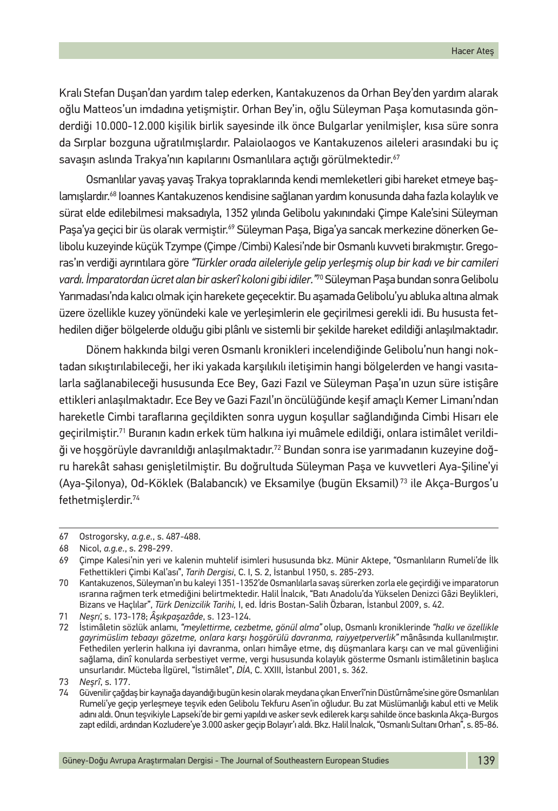Kralı Stefan Duşan'dan yardım talep ederken, Kantakuzenos da Orhan Bey'den yardım alarak oğlu Matteos'un imdadına yetişmiştir. Orhan Bey'in, oğlu Süleyman Paşa komutasında gönderdiği 10.000-12.000 kişilik birlik sayesinde ilk önce Bulgarlar yenilmişler, kısa süre sonra da Sırplar bozguna uğratılmışlardır. Palaiolaogos ve Kantakuzenos aileleri arasındaki bu iç savaşın aslında Trakya'nın kapılarını Osmanlılara açtığı görülmektedir.<sup>67</sup>

Osmanlılar yavaş yavaş Trakya topraklarında kendi memleketleri gibi hareket etmeye başlamışlardır.68 Ioannes Kantakuzenos kendisine sağlanan yardım konusunda daha fazla kolaylık ve sürat elde edilebilmesi maksadıyla, 1352 yılında Gelibolu yakınındaki Çimpe Kale'sini Süleyman Paşa'ya geçici bir üs olarak vermiştir.<sup>69</sup> Süleyman Paşa, Biga'ya sancak merkezine dönerken Gelibolu kuzeyinde küçük Tzympe (Çimpe /Cimbi) Kalesi'nde bir Osmanlı kuvveti bırakmıştır. Gregoras'ın verdiği ayrıntılara göre *"Türkler orada aileleriyle gelip yerleşmiş olup bir kadı ve bir camileri vardı. İmparatordan ücret alan bir askerî koloni gibi idiler."*70 Süleyman Paşa bundan sonra Gelibolu Yarımadası'nda kalıcı olmak için harekete geçecektir. Bu aşamada Gelibolu'yu abluka altına almak üzere özellikle kuzey yönündeki kale ve yerleşimlerin ele geçirilmesi gerekli idi. Bu hususta fethedilen diğer bölgelerde olduğu gibi plânlı ve sistemli bir şekilde hareket edildiği anlaşılmaktadır.

Dönem hakkında bilgi veren Osmanlı kronikleri incelendiğinde Gelibolu'nun hangi noktadan sıkıştırılabileceği, her iki yakada karşılıkılı iletişimin hangi bölgelerden ve hangi vasıtalarla sağlanabileceği hususunda Ece Bey, Gazi Fazıl ve Süleyman Paşa'ın uzun süre istişâre ettikleri anlaşılmaktadır. Ece Bey ve Gazi Fazıl'ın öncülüğünde keşif amaçlı Kemer Limanı'ndan hareketle Cimbi taraflarına geçildikten sonra uygun koşullar sağlandığında Cimbi Hisarı ele geçirilmiştir.71 Buranın kadın erkek tüm halkına iyi muâmele edildiği, onlara istimâlet verildiği ve hoşgörüyle davranıldığı anlaşılmaktadır.72 Bundan sonra ise yarımadanın kuzeyine doğru harekât sahası genişletilmiştir. Bu doğrultuda Süleyman Paşa ve kuvvetleri Aya-Şiline'yi (Aya-Şilonya), Od-Köklek (Balabancık) ve Eksamilye (bugün Eksamil) 73 ile Akça-Burgos'u fethetmişlerdir.74

<sup>67</sup> Ostrogorsky, *a.g.e.*, s. 487-488.

<sup>68</sup> Nicol, *a.g.e*., s. 298-299.

<sup>69</sup> Çimpe Kalesi'nin yeri ve kalenin muhtelif isimleri hususunda bkz. Münir Aktepe, "Osmanlıların Rumeli'de İlk Fethettikleri Çimbi Kal'ası", *Tarih Dergisi*, C. I, S. 2, İstanbul 1950, s. 285-293.

<sup>70</sup> Kantakuzenos, Süleyman'ın bu kaleyi 1351-1352'de Osmanlılarla savaş sürerken zorla ele geçirdiği ve imparatorun ısrarına rağmen terk etmediğini belirtmektedir. Halil İnalcık, "Batı Anadolu'da Yükselen Denizci Gâzi Beylikleri, Bizans ve Haçlılar", *Türk Denizcilik Tarihi,* I, ed. İdris Bostan-Salih Özbaran, İstanbul 2009, s. 42.

<sup>71</sup> *Neşrı̂*, s. 173-178; *Âşıkpaşazâde*, s. 123-124.

<sup>72</sup> İstimâletin sözlük anlamı, *"meylettirme, cezbetme, gönül alma"* olup, Osmanlı kroniklerinde *"halkı ve özellikle gayrimüslim tebaayı gözetme, onlara karşı hoşgörülü davranma, raiyyetperverlik"* mânâsında kullanılmıştır. Fethedilen yerlerin halkına iyi davranma, onları himâye etme, dış düşmanlara karşı can ve mal güvenliğini sağlama, dinî konularda serbestiyet verme, vergi hususunda kolaylık gösterme Osmanlı istimâletinin başlıca unsurlarıdır. Mücteba İlgürel, "İstimâlet", *DİA*, C. XXIII, İstanbul 2001, s. 362.

<sup>73</sup> *Neşrî*, s. 177.

<sup>74</sup> Güvenilir çağdaş bir kaynağa dayandığı bugün kesin olarak meydana çıkan Enverî'nin Düstûrnâme'sine göre Osmanlıları Rumeli'ye geçip yerleşmeye teşvik eden Gelibolu Tekfuru Asen'in oğludur. Bu zat Müslümanlığı kabul etti ve Melik adını aldı. Onun teşvikiyle Lapseki'de bir gemi yapıldı ve asker sevk edilerek karşı sahilde önce baskınla Akça-Burgos zapt edildi, ardından Kozludere'ye 3.000 asker geçip Bolayır'ı aldı. Bkz. Halil İnalcık, "Osmanlı Sultanı Orhan", s. 85-86.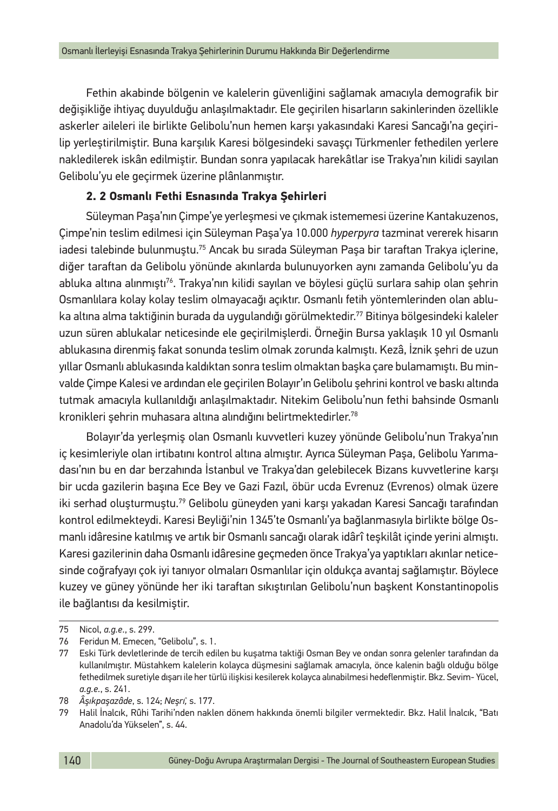Fethin akabinde bölgenin ve kalelerin güvenliğini sağlamak amacıyla demografik bir değişikliğe ihtiyaç duyulduğu anlaşılmaktadır. Ele geçirilen hisarların sakinlerinden özellikle askerler aileleri ile birlikte Gelibolu'nun hemen karşı yakasındaki Karesi Sancağı'na geçirilip yerleştirilmiştir. Buna karşılık Karesi bölgesindeki savaşçı Türkmenler fethedilen yerlere nakledilerek iskân edilmiştir. Bundan sonra yapılacak harekâtlar ise Trakya'nın kilidi sayılan Gelibolu'yu ele geçirmek üzerine plânlanmıştır.

## **2. 2 Osmanlı Fethi Esnasında Trakya Şehirleri**

Süleyman Paşa'nın Çimpe'ye yerleşmesi ve çıkmak istememesi üzerine Kantakuzenos, Çimpe'nin teslim edilmesi için Süleyman Paşa'ya 10.000 *hyperpyra* tazminat vererek hisarın iadesi talebinde bulunmuştu.75 Ancak bu sırada Süleyman Paşa bir taraftan Trakya içlerine, diğer taraftan da Gelibolu yönünde akınlarda bulunuyorken aynı zamanda Gelibolu'yu da abluka altına alınmıştı<sup>76</sup>. Trakya'nın kilidi sayılan ve böylesi güçlü surlara sahip olan şehrin Osmanlılara kolay kolay teslim olmayacağı açıktır. Osmanlı fetih yöntemlerinden olan abluka altına alma taktiğinin burada da uygulandığı görülmektedir.77 Bitinya bölgesindeki kaleler uzun süren ablukalar neticesinde ele geçirilmişlerdi. Örneğin Bursa yaklaşık 10 yıl Osmanlı ablukasına direnmiş fakat sonunda teslim olmak zorunda kalmıştı. Kezâ, İznik şehri de uzun yıllar Osmanlı ablukasında kaldıktan sonra teslim olmaktan başka çare bulamamıştı. Bu minvalde Çimpe Kalesi ve ardından ele geçirilen Bolayır'ın Gelibolu şehrini kontrol ve baskı altında tutmak amacıyla kullanıldığı anlaşılmaktadır. Nitekim Gelibolu'nun fethi bahsinde Osmanlı kronikleri şehrin muhasara altına alındığını belirtmektedirler.78

Bolayır'da yerleşmiş olan Osmanlı kuvvetleri kuzey yönünde Gelibolu'nun Trakya'nın iç kesimleriyle olan irtibatını kontrol altına almıştır. Ayrıca Süleyman Paşa, Gelibolu Yarımadası'nın bu en dar berzahında İstanbul ve Trakya'dan gelebilecek Bizans kuvvetlerine karşı bir ucda gazilerin başına Ece Bey ve Gazi Fazıl, öbür ucda Evrenuz (Evrenos) olmak üzere iki serhad oluşturmuştu.79 Gelibolu güneyden yani karşı yakadan Karesi Sancağı tarafından kontrol edilmekteydi. Karesi Beyliği'nin 1345'te Osmanlı'ya bağlanmasıyla birlikte bölge Osmanlı idâresine katılmış ve artık bir Osmanlı sancağı olarak idârî teşkilât içinde yerini almıştı. Karesi gazilerinin daha Osmanlı idâresine geçmeden önce Trakya'ya yaptıkları akınlar neticesinde coğrafyayı çok iyi tanıyor olmaları Osmanlılar için oldukça avantaj sağlamıştır. Böylece kuzey ve güney yönünde her iki taraftan sıkıştırılan Gelibolu'nun başkent Konstantinopolis ile bağlantısı da kesilmiştir.

<sup>75</sup> Nicol, *a.g.e*., s. 299.

<sup>76</sup> Feridun M. Emecen, "Gelibolu", s. 1.

<sup>77</sup> Eski Türk devletlerinde de tercih edilen bu kuşatma taktiği Osman Bey ve ondan sonra gelenler tarafından da kullanılmıştır. Müstahkem kalelerin kolayca düşmesini sağlamak amacıyla, önce kalenin bağlı olduğu bölge fethedilmek suretiyle dışarı ile her türlü ilişkisi kesilerek kolayca alınabilmesi hedeflenmiştir. Bkz. Sevim- Yücel, *a.g.e.*, s. 241.

<sup>78</sup> *Âşıkpaşazâde*, s. 124; *Neşrı̂,* s. 177.

<sup>79</sup> Halil İnalcık, Rûhi Tarihi'nden naklen dönem hakkında önemli bilgiler vermektedir. Bkz. Halil İnalcık, "Batı Anadolu'da Yükselen", s. 44.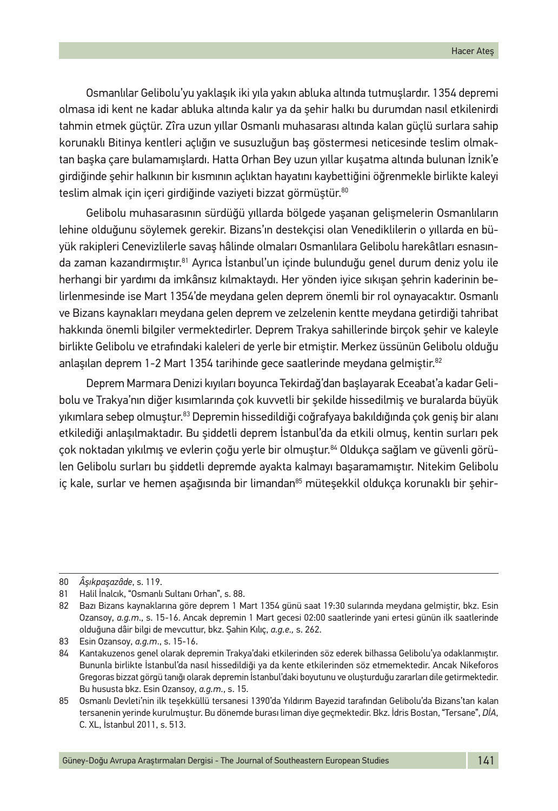Osmanlılar Gelibolu'yu yaklaşık iki yıla yakın abluka altında tutmuşlardır. 1354 depremi olmasa idi kent ne kadar abluka altında kalır ya da şehir halkı bu durumdan nasıl etkilenirdi tahmin etmek güçtür. Zîra uzun yıllar Osmanlı muhasarası altında kalan güçlü surlara sahip korunaklı Bitinya kentleri açlığın ve susuzluğun baş göstermesi neticesinde teslim olmaktan başka çare bulamamışlardı. Hatta Orhan Bey uzun yıllar kuşatma altında bulunan İznik'e girdiğinde şehir halkının bir kısmının açlıktan hayatını kaybettiğini öğrenmekle birlikte kaleyi teslim almak için içeri girdiğinde vaziyeti bizzat görmüştür.<sup>80</sup>

Gelibolu muhasarasının sürdüğü yıllarda bölgede yaşanan gelişmelerin Osmanlıların lehine olduğunu söylemek gerekir. Bizans'ın destekçisi olan Venediklilerin o yıllarda en büyük rakipleri Cenevizlilerle savaş hâlinde olmaları Osmanlılara Gelibolu harekâtları esnasında zaman kazandırmıştır.81 Ayrıca İstanbul'un içinde bulunduğu genel durum deniz yolu ile herhangi bir yardımı da imkânsız kılmaktaydı. Her yönden iyice sıkışan şehrin kaderinin belirlenmesinde ise Mart 1354'de meydana gelen deprem önemli bir rol oynayacaktır. Osmanlı ve Bizans kaynakları meydana gelen deprem ve zelzelenin kentte meydana getirdiği tahribat hakkında önemli bilgiler vermektedirler. Deprem Trakya sahillerinde birçok şehir ve kaleyle birlikte Gelibolu ve etrafındaki kaleleri de yerle bir etmiştir. Merkez üssünün Gelibolu olduğu anlaşılan deprem 1-2 Mart 1354 tarihinde gece saatlerinde meydana gelmiştir.<sup>82</sup>

Deprem Marmara Denizi kıyıları boyunca Tekirdağ'dan başlayarak Eceabat'a kadar Gelibolu ve Trakya'nın diğer kısımlarında çok kuvvetli bir şekilde hissedilmiş ve buralarda büyük yıkımlara sebep olmuştur.83 Depremin hissedildiği coğrafyaya bakıldığında çok geniş bir alanı etkilediği anlaşılmaktadır. Bu şiddetli deprem İstanbul'da da etkili olmuş, kentin surları pek çok noktadan yıkılmış ve evlerin çoğu yerle bir olmuştur.84 Oldukça sağlam ve güvenli görülen Gelibolu surları bu şiddetli depremde ayakta kalmayı başaramamıştır. Nitekim Gelibolu iç kale, surlar ve hemen aşağısında bir limandan<sup>85</sup> müteşekkil oldukça korunaklı bir şehir-

<sup>80</sup> *Âşıkpaşazâde*, s. 119.

<sup>81</sup> Halil İnalcık, "Osmanlı Sultanı Orhan", s. 88.

<sup>82</sup> Bazı Bizans kaynaklarına göre deprem 1 Mart 1354 günü saat 19:30 sularında meydana gelmiştir, bkz. Esin Ozansoy, *a.g.m*., s. 15-16. Ancak depremin 1 Mart gecesi 02:00 saatlerinde yani ertesi günün ilk saatlerinde olduğuna dâir bilgi de mevcuttur, bkz. Şahin Kılıç, *a.g.e.,* s. 262.

<sup>83</sup> Esin Ozansoy, *a.g.m*., s. 15-16.

<sup>84</sup> Kantakuzenos genel olarak depremin Trakya'daki etkilerinden söz ederek bilhassa Gelibolu'ya odaklanmıştır. Bununla birlikte İstanbul'da nasıl hissedildiği ya da kente etkilerinden söz etmemektedir. Ancak Nikeforos Gregoras bizzat görgü tanığı olarak depremin İstanbul'daki boyutunu ve oluşturduğu zararları dile getirmektedir. Bu hususta bkz. Esin Ozansoy, *a.g.m.*, s. 15.

<sup>85</sup> Osmanlı Devleti'nin ilk teşekküllü tersanesi 1390'da Yıldırım Bayezid tarafından Gelibolu'da Bizans'tan kalan tersanenin yerinde kurulmuştur. Bu dönemde burası liman diye geçmektedir. Bkz. İdris Bostan, "Tersane", *DİA*, C. XL, İstanbul 2011, s. 513.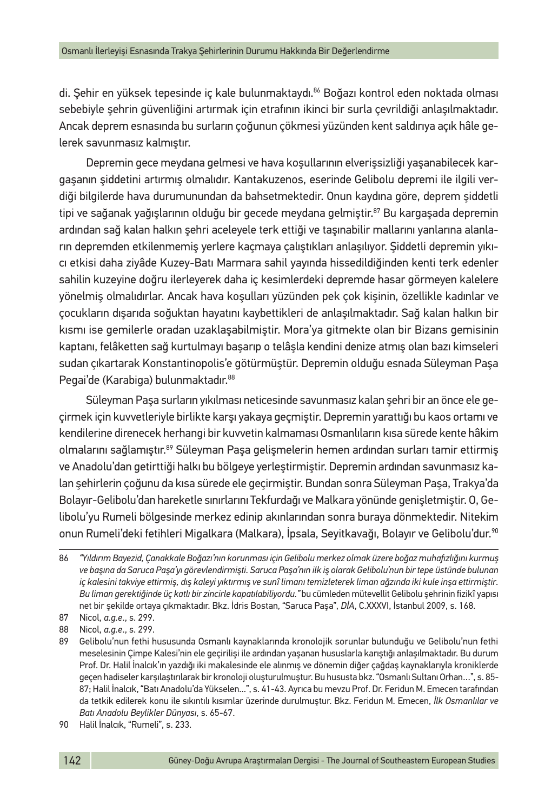di. Şehir en yüksek tepesinde iç kale bulunmaktaydı.86 Boğazı kontrol eden noktada olması sebebiyle şehrin güvenliğini artırmak için etrafının ikinci bir surla çevrildiği anlaşılmaktadır. Ancak deprem esnasında bu surların çoğunun çökmesi yüzünden kent saldırıya açık hâle gelerek savunmasız kalmıştır.

Depremin gece meydana gelmesi ve hava koşullarının elverişsizliği yaşanabilecek kargaşanın şiddetini artırmış olmalıdır. Kantakuzenos, eserinde Gelibolu depremi ile ilgili verdiği bilgilerde hava durumunundan da bahsetmektedir. Onun kaydına göre, deprem şiddetli tipi ve sağanak yağışlarının olduğu bir gecede meydana gelmiştir.<sup>87</sup> Bu kargaşada depremin ardından sağ kalan halkın şehri aceleyele terk ettiği ve taşınabilir mallarını yanlarına alanların depremden etkilenmemiş yerlere kaçmaya çalıştıkları anlaşılıyor. Şiddetli depremin yıkıcı etkisi daha ziyâde Kuzey-Batı Marmara sahil yayında hissedildiğinden kenti terk edenler sahilin kuzeyine doğru ilerleyerek daha iç kesimlerdeki depremde hasar görmeyen kalelere yönelmiş olmalıdırlar. Ancak hava koşulları yüzünden pek çok kişinin, özellikle kadınlar ve çocukların dışarıda soğuktan hayatını kaybettikleri de anlaşılmaktadır. Sağ kalan halkın bir kısmı ise gemilerle oradan uzaklaşabilmiştir. Mora'ya gitmekte olan bir Bizans gemisinin kaptanı, felâketten sağ kurtulmayı başarıp o telâşla kendini denize atmış olan bazı kimseleri sudan çıkartarak Konstantinopolis'e götürmüştür. Depremin olduğu esnada Süleyman Paşa Pegai'de (Karabiga) bulunmaktadır.<sup>88</sup>

Süleyman Paşa surların yıkılması neticesinde savunmasız kalan şehri bir an önce ele geçirmek için kuvvetleriyle birlikte karşı yakaya geçmiştir. Depremin yarattığı bu kaos ortamı ve kendilerine direnecek herhangi bir kuvvetin kalmaması Osmanlıların kısa sürede kente hâkim olmalarını sağlamıştır.89 Süleyman Paşa gelişmelerin hemen ardından surları tamir ettirmiş ve Anadolu'dan getirttiği halkı bu bölgeye yerleştirmiştir. Depremin ardından savunmasız kalan şehirlerin çoğunu da kısa sürede ele geçirmiştir. Bundan sonra Süleyman Paşa, Trakya'da Bolayır-Gelibolu'dan hareketle sınırlarını Tekfurdağı ve Malkara yönünde genişletmiştir. O, Gelibolu'yu Rumeli bölgesinde merkez edinip akınlarından sonra buraya dönmektedir. Nitekim onun Rumeli'deki fetihleri Migalkara (Malkara), İpsala, Seyitkavağı, Bolayır ve Gelibolu'dur.90

<sup>86</sup> *"Yıldırım Bayezid, Çanakkale Boğazı'nın korunması için Gelibolu merkez olmak üzere boğaz muhafızlığını kurmuş ve başına da Saruca Paşa'yı görevlendirmişti. Saruca Paşa'nın ilk iş olarak Gelibolu'nun bir tepe üstünde bulunan iç kalesini takviye ettirmiş, dış kaleyi yıktırmış ve sunî limanı temizleterek liman ağzında iki kule inşa ettirmiştir. Bu liman gerektiğinde üç katlı bir zincirle kapatılabiliyordu."* bu cümleden mütevellit Gelibolu şehrinin fizikî yapısı net bir şekilde ortaya çıkmaktadır. Bkz. İdris Bostan, "Saruca Paşa", *DİA*, C.XXXVI, İstanbul 2009, s. 168.

<sup>87</sup> Nicol, *a.g.e*., s. 299.

<sup>88</sup> Nicol, *a.g.e*., s. 299.

<sup>89</sup> Gelibolu'nun fethi hususunda Osmanlı kaynaklarında kronolojik sorunlar bulunduğu ve Gelibolu'nun fethi meselesinin Çimpe Kalesi'nin ele geçirilişi ile ardından yaşanan hususlarla karıştığı anlaşılmaktadır. Bu durum Prof. Dr. Halil İnalcık'ın yazdığı iki makalesinde ele alınmış ve dönemin diğer çağdaş kaynaklarıyla kroniklerde geçen hadiseler karşılaştırılarak bir kronoloji oluşturulmuştur. Bu hususta bkz. "Osmanlı Sultanı Orhan…", s. 85- 87; Halil İnalcık, "Batı Anadolu'da Yükselen...", s. 41-43. Ayrıca bu mevzu Prof. Dr. Feridun M. Emecen tarafından da tetkik edilerek konu ile sıkıntılı kısımlar üzerinde durulmuştur. Bkz. Feridun M. Emecen, *İlk Osmanlılar ve Batı Anadolu Beylikler Dünyası*, s. 65-67.

<sup>90</sup> Halil İnalcık, "Rumeli", s. 233.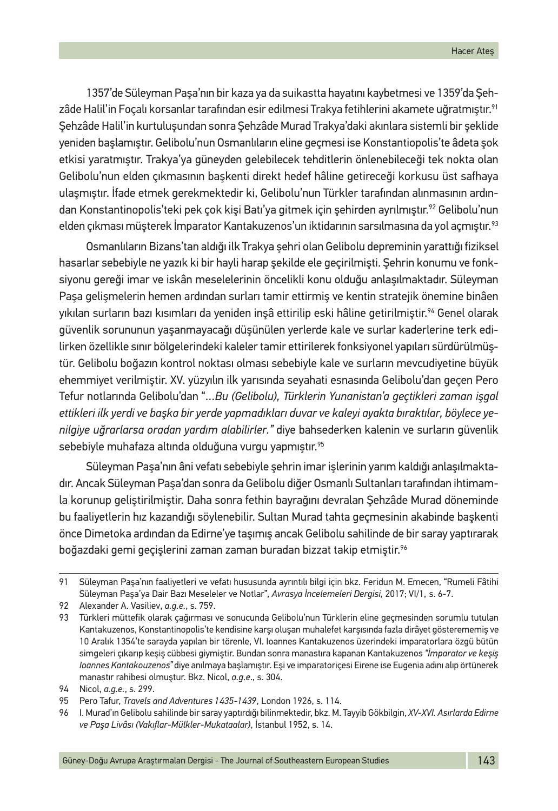1357'de Süleyman Paşa'nın bir kaza ya da suikastta hayatını kaybetmesi ve 1359'da Şehzâde Halil'in Foçalı korsanlar tarafından esir edilmesi Trakya fetihlerini akamete uğratmıştır.<sup>91</sup> Şehzâde Halil'in kurtuluşundan sonra Şehzâde Murad Trakya'daki akınlara sistemli bir şeklide yeniden başlamıştır. Gelibolu'nun Osmanlıların eline geçmesi ise Konstantiopolis'te âdeta şok etkisi yaratmıştır. Trakya'ya güneyden gelebilecek tehditlerin önlenebileceği tek nokta olan Gelibolu'nun elden çıkmasının başkenti direkt hedef hâline getireceği korkusu üst safhaya ulaşmıştır. İfade etmek gerekmektedir ki, Gelibolu'nun Türkler tarafından alınmasının ardından Konstantinopolis'teki pek çok kişi Batı'ya gitmek için şehirden ayrılmıştır.<sup>92</sup> Gelibolu'nun elden çıkması müşterek İmparator Kantakuzenos'un iktidarının sarsılmasına da yol açmıştır.<sup>93</sup>

Osmanlıların Bizans'tan aldığı ilk Trakya şehri olan Gelibolu depreminin yarattığı fiziksel hasarlar sebebiyle ne yazık ki bir hayli harap şekilde ele geçirilmişti. Şehrin konumu ve fonksiyonu gereği imar ve iskân meselelerinin öncelikli konu olduğu anlaşılmaktadır. Süleyman Paşa gelişmelerin hemen ardından surları tamir ettirmiş ve kentin stratejik önemine binâen yıkılan surların bazı kısımları da yeniden inşâ ettirilip eski hâline getirilmiştir.<sup>94</sup> Genel olarak güvenlik sorununun yaşanmayacağı düşünülen yerlerde kale ve surlar kaderlerine terk edilirken özellikle sınır bölgelerindeki kaleler tamir ettirilerek fonksiyonel yapıları sürdürülmüştür. Gelibolu boğazın kontrol noktası olması sebebiyle kale ve surların mevcudiyetine büyük ehemmiyet verilmiştir. XV. yüzyılın ilk yarısında seyahati esnasında Gelibolu'dan geçen Pero Tefur notlarında Gelibolu'dan "…*Bu (Gelibolu), Türklerin Yunanistan'a geçtikleri zaman işgal ettikleri ilk yerdi ve başka bir yerde yapmadıkları duvar ve kaleyi ayakta bıraktılar, böylece yenilgiye uğrarlarsa oradan yardım alabilirler."* diye bahsederken kalenin ve surların güvenlik sebebiyle muhafaza altında olduğuna vurgu yapmıştır.<sup>95</sup>

Süleyman Paşa'nın âni vefatı sebebiyle şehrin imar işlerinin yarım kaldığı anlaşılmaktadır. Ancak Süleyman Paşa'dan sonra da Gelibolu diğer Osmanlı Sultanları tarafından ihtimamla korunup geliştirilmiştir. Daha sonra fethin bayrağını devralan Şehzâde Murad döneminde bu faaliyetlerin hız kazandığı söylenebilir. Sultan Murad tahta geçmesinin akabinde başkenti önce Dimetoka ardından da Edirne'ye taşımış ancak Gelibolu sahilinde de bir saray yaptırarak boğazdaki gemi geçişlerini zaman zaman buradan bizzat takip etmiştir.<sup>96</sup>

<sup>91</sup> Süleyman Paşa'nın faaliyetleri ve vefatı hususunda ayrıntılı bilgi için bkz. Feridun M. Emecen, "Rumeli Fâtihi Süleyman Paşa'ya Dair Bazı Meseleler ve Notlar", *Avrasya İncelemeleri Dergisi,* 2017; VI/1, s. 6-7.

<sup>92</sup> Alexander A. Vasiliev, *a.g.e.*, s. 759.

<sup>93</sup> Türkleri müttefik olarak çağırması ve sonucunda Gelibolu'nun Türklerin eline geçmesinden sorumlu tutulan Kantakuzenos, Konstantinopolis'te kendisine karşı oluşan muhalefet karşısında fazla dirâyet gösterememiş ve 10 Aralık 1354'te sarayda yapılan bir törenle, VI. Ioannes Kantakuzenos üzerindeki imparatorlara özgü bütün simgeleri çıkarıp keşiş cübbesi giymiştir. Bundan sonra manastıra kapanan Kantakuzenos *"İmparator ve keşiş Ioannes Kantakouzenos"* diye anılmaya başlamıştır. Eşi ve imparatoriçesi Eirene ise Eugenia adını alıp örtünerek manastır rahibesi olmuştur. Bkz. Nicol, *a.g.e*., s. 304.

<sup>94</sup> Nicol, *a.g.e.*, s. 299.

<sup>95</sup> Pero Tafur, *Travels and Adventures 1435-1439*, London 1926, s. 114.

<sup>96</sup> I. Murad'ın Gelibolu sahilinde bir saray yaptırdığı bilinmektedir, bkz. M. Tayyib Gökbilgin, *XV-XVI. Asırlarda Edirne ve Paşa Livâsı (Vakıflar-Mülkler-Mukataalar)*, İstanbul 1952, s. 14.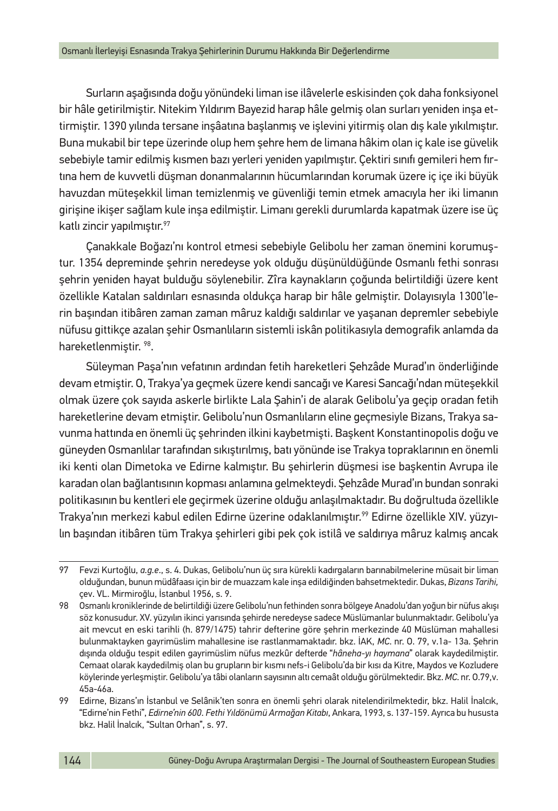Surların aşağısında doğu yönündeki liman ise ilâvelerle eskisinden çok daha fonksiyonel bir hâle getirilmiştir. Nitekim Yıldırım Bayezid harap hâle gelmiş olan surları yeniden inşa ettirmiştir. 1390 yılında tersane inşâatına başlanmış ve işlevini yitirmiş olan dış kale yıkılmıştır. Buna mukabil bir tepe üzerinde olup hem şehre hem de limana hâkim olan iç kale ise güvelik sebebiyle tamir edilmiş kısmen bazı yerleri yeniden yapılmıştır. Çektiri sınıfı gemileri hem fırtına hem de kuvvetli düşman donanmalarının hücumlarından korumak üzere iç içe iki büyük havuzdan müteşekkil liman temizlenmiş ve güvenliği temin etmek amacıyla her iki limanın girişine ikişer sağlam kule inşa edilmiştir. Limanı gerekli durumlarda kapatmak üzere ise üç katlı zincir yapılmıştır.97

Çanakkale Boğazı'nı kontrol etmesi sebebiyle Gelibolu her zaman önemini korumuştur. 1354 depreminde şehrin neredeyse yok olduğu düşünüldüğünde Osmanlı fethi sonrası şehrin yeniden hayat bulduğu söylenebilir. Zîra kaynakların çoğunda belirtildiği üzere kent özellikle Katalan saldırıları esnasında oldukça harap bir hâle gelmiştir. Dolayısıyla 1300'lerin başından itibâren zaman zaman mâruz kaldığı saldırılar ve yaşanan depremler sebebiyle nüfusu gittikçe azalan şehir Osmanlıların sistemli iskân politikasıyla demografik anlamda da hareketlenmiştir. 98.

Süleyman Paşa'nın vefatının ardından fetih hareketleri Şehzâde Murad'ın önderliğinde devam etmiştir. O, Trakya'ya geçmek üzere kendi sancağı ve Karesi Sancağı'ndan müteşekkil olmak üzere çok sayıda askerle birlikte Lala Şahin'i de alarak Gelibolu'ya geçip oradan fetih hareketlerine devam etmiştir. Gelibolu'nun Osmanlıların eline geçmesiyle Bizans, Trakya savunma hattında en önemli üç şehrinden ilkini kaybetmişti. Başkent Konstantinopolis doğu ve güneyden Osmanlılar tarafından sıkıştırılmış, batı yönünde ise Trakya topraklarının en önemli iki kenti olan Dimetoka ve Edirne kalmıştır. Bu şehirlerin düşmesi ise başkentin Avrupa ile karadan olan bağlantısının kopması anlamına gelmekteydi. Şehzâde Murad'ın bundan sonraki politikasının bu kentleri ele geçirmek üzerine olduğu anlaşılmaktadır. Bu doğrultuda özellikle Trakya'nın merkezi kabul edilen Edirne üzerine odaklanılmıştır.<sup>99</sup> Edirne özellikle XIV. yüzyılın başından itibâren tüm Trakya şehirleri gibi pek çok istilâ ve saldırıya mâruz kalmış ancak

<sup>97</sup> Fevzi Kurtoğlu, *a.g.e*., s. 4. Dukas, Gelibolu'nun üç sıra kürekli kadırgaların barınabilmelerine müsait bir liman olduğundan, bunun müdâfaası için bir de muazzam kale inşa edildiğinden bahsetmektedir. Dukas, *Bizans Tarihi,* çev. VL. Mirmiroğlu, İstanbul 1956, s. 9.

<sup>98</sup> Osmanlı kroniklerinde de belirtildiği üzere Gelibolu'nun fethinden sonra bölgeye Anadolu'dan yoğun bir nüfus akışı söz konusudur. XV. yüzyılın ikinci yarısında şehirde neredeyse sadece Müslümanlar bulunmaktadır. Gelibolu'ya ait mevcut en eski tarihli (h. 879/1475) tahrir defterine göre şehrin merkezinde 40 Müslüman mahallesi bulunmaktayken gayrimüslim mahallesine ise rastlanmamaktadır. bkz. İAK, *MC*. nr. O. 79, v.1a- 13a. Şehrin dışında olduğu tespit edilen gayrimüslim nüfus mezkûr defterde "*hâneha-yı haymana*" olarak kaydedilmiştir. Cemaat olarak kaydedilmiş olan bu grupların bir kısmı nefs-i Gelibolu'da bir kısı da Kitre, Maydos ve Kozludere köylerinde yerleşmiştir. Gelibolu'ya tâbi olanların sayısının altı cemaât olduğu görülmektedir. Bkz. *MC*. nr. O.79,v. 45a-46a.

<sup>99</sup> Edirne, Bizans'ın İstanbul ve Selânik'ten sonra en önemli şehri olarak nitelendirilmektedir, bkz. Halil İnalcık, "Edirne'nin Fethi", *Edirne'nin 600. Fethi Yıldönümü Armağan Kitabı*, Ankara, 1993, s. 137-159. Ayrıca bu hususta bkz. Halil İnalcık, "Sultan Orhan", s. 97.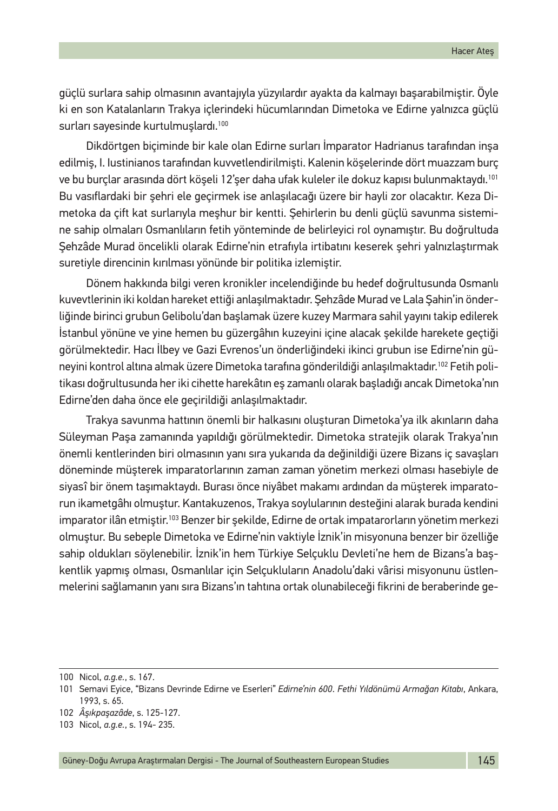güçlü surlara sahip olmasının avantajıyla yüzyılardır ayakta da kalmayı başarabilmiştir. Öyle ki en son Katalanların Trakya içlerindeki hücumlarından Dimetoka ve Edirne yalnızca güçlü surları sayesinde kurtulmuşlardı.<sup>100</sup>

Dikdörtgen biçiminde bir kale olan Edirne surları İmparator Hadrianus tarafından inşa edilmiş, I. Iustinianos tarafından kuvvetlendirilmişti. Kalenin köşelerinde dört muazzam burç ve bu burçlar arasında dört köşeli 12'şer daha ufak kuleler ile dokuz kapısı bulunmaktaydı.101 Bu vasıflardaki bir şehri ele geçirmek ise anlaşılacağı üzere bir hayli zor olacaktır. Keza Dimetoka da çift kat surlarıyla meşhur bir kentti. Şehirlerin bu denli güçlü savunma sistemine sahip olmaları Osmanlıların fetih yönteminde de belirleyici rol oynamıştır. Bu doğrultuda Şehzâde Murad öncelikli olarak Edirne'nin etrafıyla irtibatını keserek şehri yalnızlaştırmak suretiyle direncinin kırılması yönünde bir politika izlemiştir.

Dönem hakkında bilgi veren kronikler incelendiğinde bu hedef doğrultusunda Osmanlı kuvevtlerinin iki koldan hareket ettiği anlaşılmaktadır. Şehzâde Murad ve Lala Şahin'in önderliğinde birinci grubun Gelibolu'dan başlamak üzere kuzey Marmara sahil yayını takip edilerek İstanbul yönüne ve yine hemen bu güzergâhın kuzeyini içine alacak şekilde harekete geçtiği görülmektedir. Hacı İlbey ve Gazi Evrenos'un önderliğindeki ikinci grubun ise Edirne'nin güneyini kontrol altına almak üzere Dimetoka tarafına gönderildiği anlaşılmaktadır.102 Fetih politikası doğrultusunda her iki cihette harekâtın eş zamanlı olarak başladığı ancak Dimetoka'nın Edirne'den daha önce ele geçirildiği anlaşılmaktadır.

Trakya savunma hattının önemli bir halkasını oluşturan Dimetoka'ya ilk akınların daha Süleyman Paşa zamanında yapıldığı görülmektedir. Dimetoka stratejik olarak Trakya'nın önemli kentlerinden biri olmasının yanı sıra yukarıda da değinildiği üzere Bizans iç savaşları döneminde müşterek imparatorlarının zaman zaman yönetim merkezi olması hasebiyle de siyasî bir önem taşımaktaydı. Burası önce niyâbet makamı ardından da müşterek imparatorun ikametgâhı olmuştur. Kantakuzenos, Trakya soylularının desteğini alarak burada kendini imparator ilân etmiştir.103 Benzer bir şekilde, Edirne de ortak impatarorların yönetim merkezi olmuştur. Bu sebeple Dimetoka ve Edirne'nin vaktiyle İznik'in misyonuna benzer bir özelliğe sahip oldukları söylenebilir. İznik'in hem Türkiye Selçuklu Devleti'ne hem de Bizans'a başkentlik yapmış olması, Osmanlılar için Selçukluların Anadolu'daki vârisi misyonunu üstlenmelerini sağlamanın yanı sıra Bizans'ın tahtına ortak olunabileceği fikrini de beraberinde ge-

<sup>100</sup> Nicol, *a.g.e.*, s. 167.

<sup>101</sup> Semavi Eyice, "Bizans Devrinde Edirne ve Eserleri" *Edirne'nin 600. Fethi Yıldönümü Armağan Kitabı*, Ankara, 1993, s. 65.

<sup>102</sup> *Âşıkpaşazâde*, s. 125-127.

<sup>103</sup> Nicol, *a.g.e.*, s. 194- 235.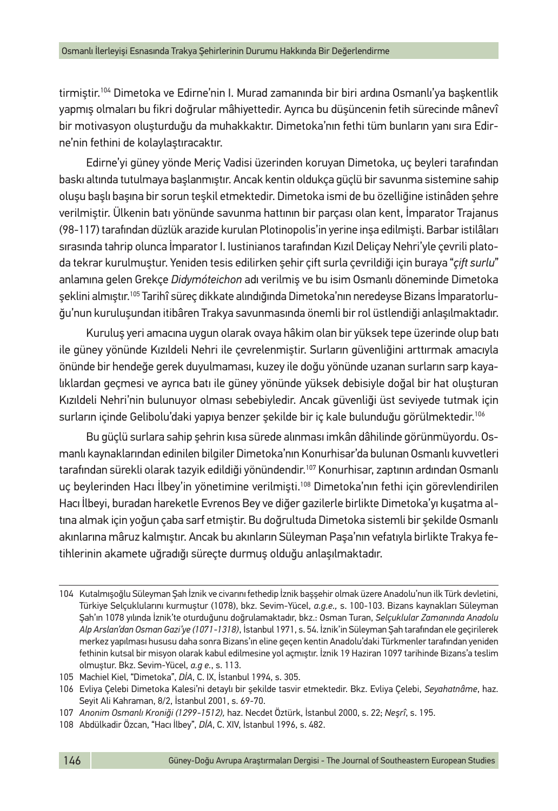tirmiştir.<sup>104</sup> Dimetoka ve Edirne'nin I. Murad zamanında bir biri ardına Osmanlı'ya başkentlik yapmış olmaları bu fikri doğrular mâhiyettedir. Ayrıca bu düşüncenin fetih sürecinde mânevî bir motivasyon oluşturduğu da muhakkaktır. Dimetoka'nın fethi tüm bunların yanı sıra Edirne'nin fethini de kolaylaştıracaktır.

Edirne'yi güney yönde Meriç Vadisi üzerinden koruyan Dimetoka, uç beyleri tarafından baskı altında tutulmaya başlanmıştır. Ancak kentin oldukça güçlü bir savunma sistemine sahip oluşu başlı başına bir sorun teşkil etmektedir. Dimetoka ismi de bu özelliğine istinâden şehre verilmiştir. Ülkenin batı yönünde savunma hattının bir parçası olan kent, İmparator Trajanus (98-117) tarafından düzlük arazide kurulan Plotinopolis'in yerine inşa edilmişti. Barbar istilâları sırasında tahrip olunca İmparator I. Iustinianos tarafından Kızıl Deliçay Nehri'yle çevrili platoda tekrar kurulmuştur. Yeniden tesis edilirken şehir çift surla çevrildiği için buraya "*çift surlu*" anlamına gelen Grekçe *Didymóteichon* adı verilmiş ve bu isim Osmanlı döneminde Dimetoka şeklini almıştır.105 Tarihî süreç dikkate alındığında Dimetoka'nın neredeyse Bizans İmparatorluğu'nun kuruluşundan itibâren Trakya savunmasında önemli bir rol üstlendiği anlaşılmaktadır.

Kuruluş yeri amacına uygun olarak ovaya hâkim olan bir yüksek tepe üzerinde olup batı ile güney yönünde Kızıldeli Nehri ile çevrelenmiştir. Surların güvenliğini arttırmak amacıyla önünde bir hendeğe gerek duyulmaması, kuzey ile doğu yönünde uzanan surların sarp kayalıklardan geçmesi ve ayrıca batı ile güney yönünde yüksek debisiyle doğal bir hat oluşturan Kızıldeli Nehri'nin bulunuyor olması sebebiyledir. Ancak güvenliği üst seviyede tutmak için surların içinde Gelibolu'daki yapıya benzer şekilde bir iç kale bulunduğu görülmektedir.106

Bu güçlü surlara sahip şehrin kısa sürede alınması imkân dâhilinde görünmüyordu. Osmanlı kaynaklarından edinilen bilgiler Dimetoka'nın Konurhisar'da bulunan Osmanlı kuvvetleri tarafından sürekli olarak tazyik edildiği yönündendir.<sup>107</sup> Konurhisar, zaptının ardından Osmanlı uç beylerinden Hacı İlbey'in yönetimine verilmişti.<sup>108</sup> Dimetoka'nın fethi için görevlendirilen Hacı İlbeyi, buradan hareketle Evrenos Bey ve diğer gazilerle birlikte Dimetoka'yı kuşatma altına almak için yoğun çaba sarf etmiştir. Bu doğrultuda Dimetoka sistemli bir şekilde Osmanlı akınlarına mâruz kalmıştır. Ancak bu akınların Süleyman Paşa'nın vefatıyla birlikte Trakya fetihlerinin akamete uğradığı süreçte durmuş olduğu anlaşılmaktadır.

<sup>104</sup> Kutalmışoğlu Süleyman Şah İznik ve civarını fethedip İznik başşehir olmak üzere Anadolu'nun ilk Türk devletini, Türkiye Selçuklularını kurmuştur (1078), bkz. Sevim-Yücel, *a.g.e.,* s. 100-103. Bizans kaynakları Süleyman Şah'ın 1078 yılında İznik'te oturduğunu doğrulamaktadır, bkz.: Osman Turan, *Selçuklular Zamanında Anadolu Alp Arslan'dan Osman Gazi'ye (1071-1318)*, İstanbul 1971, s. 54. İznik'in Süleyman Şah tarafından ele geçirilerek merkez yapılması hususu daha sonra Bizans'ın eline geçen kentin Anadolu'daki Türkmenler tarafından yeniden fethinin kutsal bir misyon olarak kabul edilmesine yol açmıştır. İznik 19 Haziran 1097 tarihinde Bizans'a teslim olmuştur. Bkz. Sevim-Yücel, *a.g e.*, s. 113.

<sup>105</sup> Machiel Kiel, "Dimetoka", *DİA*, C. IX, İstanbul 1994, s. 305.

<sup>106</sup> Evliya Çelebi Dimetoka Kalesi'ni detaylı bir şekilde tasvir etmektedir. Bkz. Evliya Çelebi, *Seyahatnâme*, haz. Seyit Ali Kahraman, 8/2, İstanbul 2001, s. 69-70.

<sup>107</sup> *Anonim Osmanlı Kroniği (1299-1512),* haz. Necdet Öztürk, İstanbul 2000, s. 22; *Neşrî*, s. 195.

<sup>108</sup> Abdülkadir Özcan, "Hacı İlbey", *DİA*, C. XIV, İstanbul 1996, s. 482.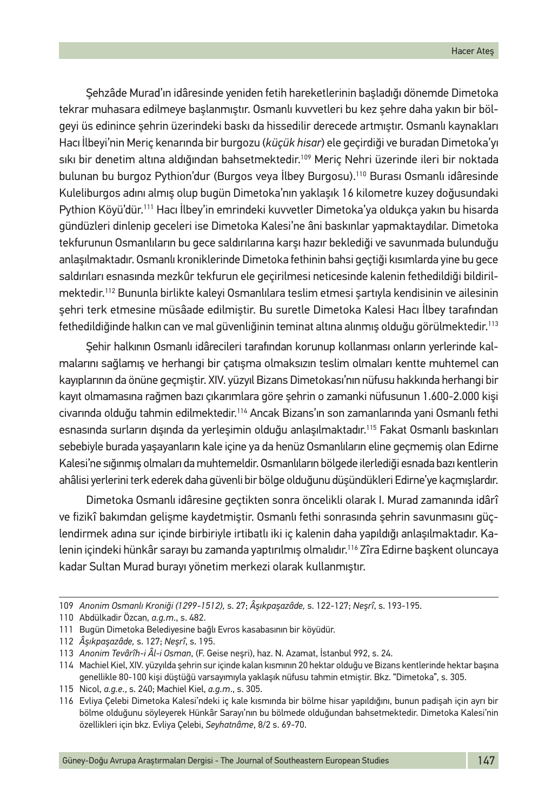Şehzâde Murad'ın idâresinde yeniden fetih hareketlerinin başladığı dönemde Dimetoka tekrar muhasara edilmeye başlanmıştır. Osmanlı kuvvetleri bu kez şehre daha yakın bir bölgeyi üs edinince şehrin üzerindeki baskı da hissedilir derecede artmıştır. Osmanlı kaynakları Hacı İlbeyi'nin Meriç kenarında bir burgozu (*küçük hisar*) ele geçirdiği ve buradan Dimetoka'yı sıkı bir denetim altına aldığından bahsetmektedir.109 Meriç Nehri üzerinde ileri bir noktada bulunan bu burgoz Pythion'dur (Burgos veya İlbey Burgosu).110 Burası Osmanlı idâresinde Kuleliburgos adını almış olup bugün Dimetoka'nın yaklaşık 16 kilometre kuzey doğusundaki Pythion Köyü'dür.111 Hacı İlbey'in emrindeki kuvvetler Dimetoka'ya oldukça yakın bu hisarda gündüzleri dinlenip geceleri ise Dimetoka Kalesi'ne âni baskınlar yapmaktaydılar. Dimetoka tekfurunun Osmanlıların bu gece saldırılarına karşı hazır beklediği ve savunmada bulunduğu anlaşılmaktadır. Osmanlı kroniklerinde Dimetoka fethinin bahsi geçtiği kısımlarda yine bu gece saldırıları esnasında mezkûr tekfurun ele geçirilmesi neticesinde kalenin fethedildiği bildirilmektedir.112 Bununla birlikte kaleyi Osmanlılara teslim etmesi şartıyla kendisinin ve ailesinin şehri terk etmesine müsâade edilmiştir. Bu suretle Dimetoka Kalesi Hacı İlbey tarafından fethedildiğinde halkın can ve mal güvenliğinin teminat altına alınmış olduğu görülmektedir.113

Şehir halkının Osmanlı idârecileri tarafından korunup kollanması onların yerlerinde kalmalarını sağlamış ve herhangi bir çatışma olmaksızın teslim olmaları kentte muhtemel can kayıplarının da önüne geçmiştir. XIV. yüzyıl Bizans Dimetokası'nın nüfusu hakkında herhangi bir kayıt olmamasına rağmen bazı çıkarımlara göre şehrin o zamanki nüfusunun 1.600-2.000 kişi civarında olduğu tahmin edilmektedir.114 Ancak Bizans'ın son zamanlarında yani Osmanlı fethi esnasında surların dışında da yerleşimin olduğu anlaşılmaktadır.<sup>115</sup> Fakat Osmanlı baskınları sebebiyle burada yaşayanların kale içine ya da henüz Osmanlıların eline geçmemiş olan Edirne Kalesi'ne sığınmış olmaları da muhtemeldir. Osmanlıların bölgede ilerlediği esnada bazı kentlerin ahâlisi yerlerini terk ederek daha güvenli bir bölge olduğunu düşündükleri Edirne'ye kaçmışlardır.

Dimetoka Osmanlı idâresine geçtikten sonra öncelikli olarak I. Murad zamanında idârî ve fizikî bakımdan gelişme kaydetmiştir. Osmanlı fethi sonrasında şehrin savunmasını güçlendirmek adına sur içinde birbiriyle irtibatlı iki iç kalenin daha yapıldığı anlaşılmaktadır. Kalenin içindeki hünkâr sarayı bu zamanda yaptırılmış olmalıdır.116 Zîra Edirne başkent oluncaya kadar Sultan Murad burayı yönetim merkezi olarak kullanmıştır.

<sup>109</sup> *Anonim Osmanlı Kroniği (1299-1512),* s. 27; *Âşıkpaşazâde,* s. 122-127; *Neşrî*, s. 193-195.

<sup>110</sup> Abdülkadir Özcan, *a.g.m*., s. 482.

<sup>111</sup> Bugün Dimetoka Belediyesine bağlı Evros kasabasının bir köyüdür.

<sup>112</sup> *Âşıkpaşazâde,* s. 127; *Neşrî*, s. 195.

<sup>113</sup> *Anonim Tevârîh-i Âl-i Osman*, (F. Geise neşri), haz. N. Azamat, İstanbul 992, s. 24.

<sup>114</sup> Machiel Kiel, XIV. yüzyılda şehrin sur içinde kalan kısmının 20 hektar olduğu ve Bizans kentlerinde hektar başına genellikle 80-100 kişi düştüğü varsayımıyla yaklaşık nüfusu tahmin etmiştir. Bkz. "Dimetoka", s. 305.

<sup>115</sup> Nicol, *a.g.e*., s. 240; Machiel Kiel, *a.g.m*., s. 305.

<sup>116</sup> Evliya Çelebi Dimetoka Kalesi'ndeki iç kale kısmında bir bölme hisar yapıldığını, bunun padişah için ayrı bir bölme olduğunu söyleyerek Hünkâr Sarayı'nın bu bölmede olduğundan bahsetmektedir. Dimetoka Kalesi'nin özellikleri için bkz. Evliya Çelebi, *Seyhatnâme*, 8/2 s. 69-70.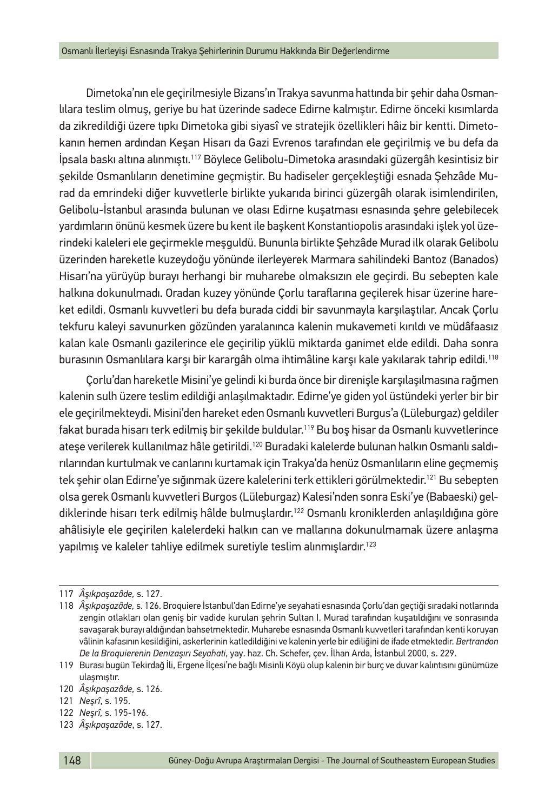Dimetoka'nın ele geçirilmesiyle Bizans'ın Trakya savunma hattında bir şehir daha Osmanlılara teslim olmuş, geriye bu hat üzerinde sadece Edirne kalmıştır. Edirne önceki kısımlarda da zikredildiği üzere tıpkı Dimetoka gibi siyasî ve stratejik özellikleri hâiz bir kentti. Dimetokanın hemen ardından Keşan Hisarı da Gazi Evrenos tarafından ele geçirilmiş ve bu defa da İpsala baskı altına alınmıştı.117 Böylece Gelibolu-Dimetoka arasındaki güzergâh kesintisiz bir şekilde Osmanlıların denetimine geçmiştir. Bu hadiseler gerçekleştiği esnada Şehzâde Murad da emrindeki diğer kuvvetlerle birlikte yukarıda birinci güzergâh olarak isimlendirilen, Gelibolu-İstanbul arasında bulunan ve olası Edirne kuşatması esnasında şehre gelebilecek yardımların önünü kesmek üzere bu kent ile başkent Konstantiopolis arasındaki işlek yol üzerindeki kaleleri ele geçirmekle meşguldü. Bununla birlikte Şehzâde Murad ilk olarak Gelibolu üzerinden hareketle kuzeydoğu yönünde ilerleyerek Marmara sahilindeki Bantoz (Banados) Hisarı'na yürüyüp burayı herhangi bir muharebe olmaksızın ele geçirdi. Bu sebepten kale halkına dokunulmadı. Oradan kuzey yönünde Çorlu taraflarına geçilerek hisar üzerine hareket edildi. Osmanlı kuvvetleri bu defa burada ciddi bir savunmayla karşılaştılar. Ancak Çorlu tekfuru kaleyi savunurken gözünden yaralanınca kalenin mukavemeti kırıldı ve müdâfaasız kalan kale Osmanlı gazilerince ele geçirilip yüklü miktarda ganimet elde edildi. Daha sonra burasının Osmanlılara karşı bir karargâh olma ihtimâline karşı kale yakılarak tahrip edildi.118

Çorlu'dan hareketle Misini'ye gelindi ki burda önce bir direnişle karşılaşılmasına rağmen kalenin sulh üzere teslim edildiği anlaşılmaktadır. Edirne'ye giden yol üstündeki yerler bir bir ele geçirilmekteydi. Misini'den hareket eden Osmanlı kuvvetleri Burgus'a (Lüleburgaz) geldiler fakat burada hisarı terk edilmiş bir şekilde buldular.119 Bu boş hisar da Osmanlı kuvvetlerince ateşe verilerek kullanılmaz hâle getirildi.120 Buradaki kalelerde bulunan halkın Osmanlı saldırılarından kurtulmak ve canlarını kurtamak için Trakya'da henüz Osmanlıların eline geçmemiş tek şehir olan Edirne'ye sığınmak üzere kalelerini terk ettikleri görülmektedir.<sup>121</sup> Bu sebepten olsa gerek Osmanlı kuvvetleri Burgos (Lüleburgaz) Kalesi'nden sonra Eski'ye (Babaeski) geldiklerinde hisarı terk edilmiş hâlde bulmuşlardır.<sup>122</sup> Osmanlı kroniklerden anlaşıldığına göre ahâlisiyle ele geçirilen kalelerdeki halkın can ve mallarına dokunulmamak üzere anlaşma yapılmış ve kaleler tahliye edilmek suretiyle teslim alınmışlardır.123

122 *Neşrî,* s. 195-196.

<sup>117</sup> *Âşıkpaşazâde,* s. 127.

<sup>118</sup> *Âşıkpaşazâde,* s. 126. Broquiere İstanbul'dan Edirne'ye seyahati esnasında Çorlu'dan geçtiği sıradaki notlarında zengin otlakları olan geniş bir vadide kurulan şehrin Sultan I. Murad tarafından kuşatıldığını ve sonrasında savaşarak burayı aldığından bahsetmektedir. Muharebe esnasında Osmanlı kuvvetleri tarafından kenti koruyan vâlinin kafasının kesildiğini, askerlerinin katledildiğini ve kalenin yerle bir ediliğini de ifade etmektedir. *Bertrandon De la Broquierenin Denizaşırı Seyahati*, yay. haz. Ch. Schefer, çev. İlhan Arda, İstanbul 2000, s. 229.

<sup>119</sup> Burası bugün Tekirdağ İli, Ergene İlçesi'ne bağlı Misinli Köyü olup kalenin bir burç ve duvar kalıntısını günümüze ulaşmıştır.

<sup>120</sup> *Âşıkpaşazâde,* s. 126.

<sup>121</sup> *Neşrî*, s. 195.

<sup>123</sup> *Âşıkpaşazâde*, s. 127.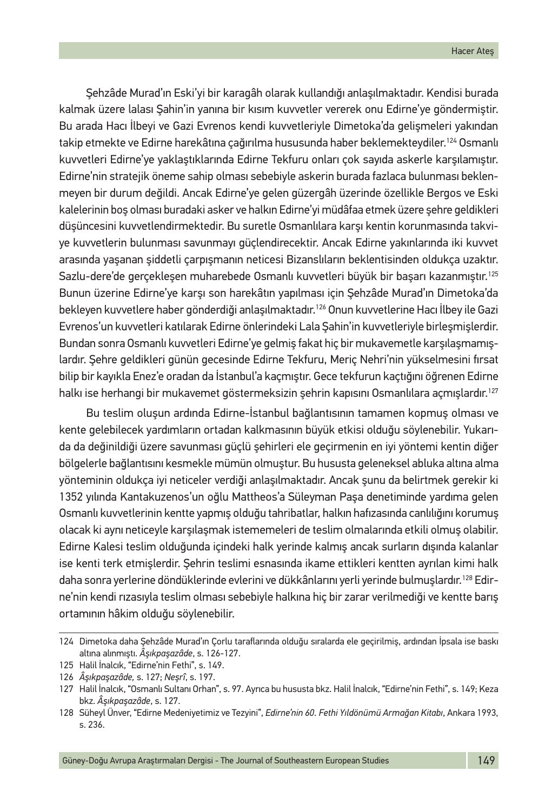Şehzâde Murad'ın Eski'yi bir karagâh olarak kullandığı anlaşılmaktadır. Kendisi burada kalmak üzere lalası Şahin'in yanına bir kısım kuvvetler vererek onu Edirne'ye göndermiştir. Bu arada Hacı İlbeyi ve Gazi Evrenos kendi kuvvetleriyle Dimetoka'da gelişmeleri yakından takip etmekte ve Edirne harekâtına çağırılma hususunda haber beklemekteydiler.<sup>124</sup> Osmanlı kuvvetleri Edirne'ye yaklaştıklarında Edirne Tekfuru onları çok sayıda askerle karşılamıştır. Edirne'nin stratejik öneme sahip olması sebebiyle askerin burada fazlaca bulunması beklenmeyen bir durum değildi. Ancak Edirne'ye gelen güzergâh üzerinde özellikle Bergos ve Eski kalelerinin boş olması buradaki asker ve halkın Edirne'yi müdâfaa etmek üzere şehre geldikleri düşüncesini kuvvetlendirmektedir. Bu suretle Osmanlılara karşı kentin korunmasında takviye kuvvetlerin bulunması savunmayı güçlendirecektir. Ancak Edirne yakınlarında iki kuvvet arasında yaşanan şiddetli çarpışmanın neticesi Bizanslıların beklentisinden oldukça uzaktır. Sazlu-dere'de gerçekleşen muharebede Osmanlı kuvvetleri büyük bir başarı kazanmıştır.125 Bunun üzerine Edirne'ye karşı son harekâtın yapılması için Şehzâde Murad'ın Dimetoka'da bekleyen kuvvetlere haber gönderdiği anlaşılmaktadır.126 Onun kuvvetlerine Hacı İlbey ile Gazi Evrenos'un kuvvetleri katılarak Edirne önlerindeki Lala Şahin'in kuvvetleriyle birleşmişlerdir. Bundan sonra Osmanlı kuvvetleri Edirne'ye gelmiş fakat hiç bir mukavemetle karşılaşmamışlardır. Şehre geldikleri günün gecesinde Edirne Tekfuru, Meriç Nehri'nin yükselmesini fırsat bilip bir kayıkla Enez'e oradan da İstanbul'a kaçmıştır. Gece tekfurun kaçtığını öğrenen Edirne halkı ise herhangi bir mukavemet göstermeksizin şehrin kapısını Osmanlılara açmışlardır.<sup>127</sup>

Bu teslim oluşun ardında Edirne-İstanbul bağlantısının tamamen kopmuş olması ve kente gelebilecek yardımların ortadan kalkmasının büyük etkisi olduğu söylenebilir. Yukarıda da değinildiği üzere savunması güçlü şehirleri ele geçirmenin en iyi yöntemi kentin diğer bölgelerle bağlantısını kesmekle mümün olmuştur. Bu hususta geleneksel abluka altına alma yönteminin oldukça iyi neticeler verdiği anlaşılmaktadır. Ancak şunu da belirtmek gerekir ki 1352 yılında Kantakuzenos'un oğlu Mattheos'a Süleyman Paşa denetiminde yardıma gelen Osmanlı kuvvetlerinin kentte yapmış olduğu tahribatlar, halkın hafızasında canlılığını korumuş olacak ki aynı neticeyle karşılaşmak istememeleri de teslim olmalarında etkili olmuş olabilir. Edirne Kalesi teslim olduğunda içindeki halk yerinde kalmış ancak surların dışında kalanlar ise kenti terk etmişlerdir. Şehrin teslimi esnasında ikame ettikleri kentten ayrılan kimi halk daha sonra yerlerine döndüklerinde evlerini ve dükkânlarını yerli yerinde bulmuşlardır.128 Edirne'nin kendi rızasıyla teslim olması sebebiyle halkına hiç bir zarar verilmediği ve kentte barış ortamının hâkim olduğu söylenebilir.

<sup>124</sup> Dimetoka daha Şehzâde Murad'ın Çorlu taraflarında olduğu sıralarda ele geçirilmiş, ardından İpsala ise baskı altına alınmıştı. *Âşıkpaşazâde*, s. 126-127.

<sup>125</sup> Halil İnalcık, "Edirne'nin Fethi", s. 149.

<sup>126</sup> *Âşıkpaşazâde,* s. 127; *Neşrî*, s. 197.

<sup>127</sup> Halil İnalcık, "Osmanlı Sultanı Orhan", s. 97. Ayrıca bu hususta bkz. Halil İnalcık, "Edirne'nin Fethi", s. 149; Keza bkz. *Âşıkpaşazâde*, s. 127.

<sup>128</sup> Süheyl Ünver, "Edirne Medeniyetimiz ve Tezyini", *Edirne'nin 60. Fethi Yıldönümü Armağan Kitabı*, Ankara 1993, s. 236.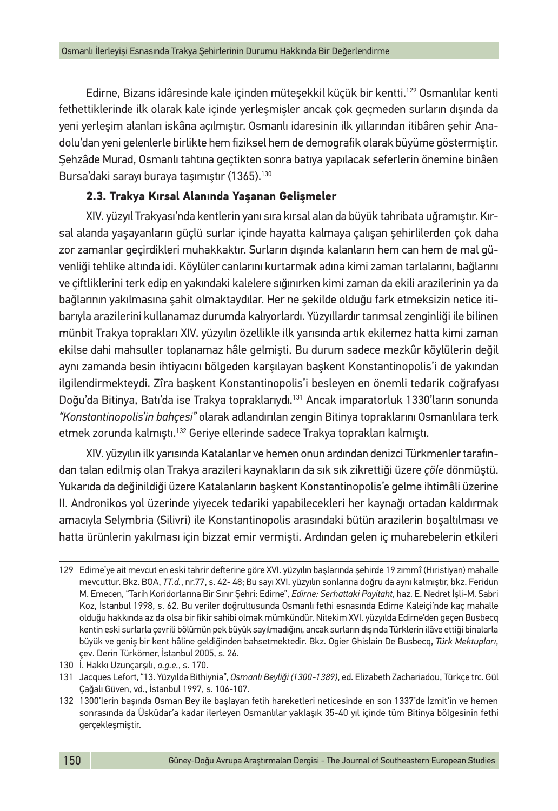Edirne, Bizans idâresinde kale içinden müteşekkil küçük bir kentti.129 Osmanlılar kenti fethettiklerinde ilk olarak kale içinde yerleşmişler ancak çok geçmeden surların dışında da yeni yerleşim alanları iskâna açılmıştır. Osmanlı idaresinin ilk yıllarından itibâren şehir Anadolu'dan yeni gelenlerle birlikte hem fiziksel hem de demografik olarak büyüme göstermiştir. Şehzâde Murad, Osmanlı tahtına geçtikten sonra batıya yapılacak seferlerin önemine binâen Bursa'daki sarayı buraya taşımıştır (1365).130

## **2.3. Trakya Kırsal Alanında Yaşanan Gelişmeler**

XIV. yüzyıl Trakyası'nda kentlerin yanı sıra kırsal alan da büyük tahribata uğramıştır. Kırsal alanda yaşayanların güçlü surlar içinde hayatta kalmaya çalışan şehirlilerden çok daha zor zamanlar geçirdikleri muhakkaktır. Surların dışında kalanların hem can hem de mal güvenliği tehlike altında idi. Köylüler canlarını kurtarmak adına kimi zaman tarlalarını, bağlarını ve çiftliklerini terk edip en yakındaki kalelere sığınırken kimi zaman da ekili arazilerinin ya da bağlarının yakılmasına şahit olmaktaydılar. Her ne şekilde olduğu fark etmeksizin netice itibarıyla arazilerini kullanamaz durumda kalıyorlardı. Yüzyıllardır tarımsal zenginliği ile bilinen münbit Trakya toprakları XIV. yüzyılın özellikle ilk yarısında artık ekilemez hatta kimi zaman ekilse dahi mahsuller toplanamaz hâle gelmişti. Bu durum sadece mezkûr köylülerin değil aynı zamanda besin ihtiyacını bölgeden karşılayan başkent Konstantinopolis'i de yakından ilgilendirmekteydi. Zîra başkent Konstantinopolis'i besleyen en önemli tedarik coğrafyası Doğu'da Bitinya, Batı'da ise Trakya topraklarıydı.<sup>131</sup> Ancak imparatorluk 1330'ların sonunda *"Konstantinopolis'in bahçesi"* olarak adlandırılan zengin Bitinya topraklarını Osmanlılara terk etmek zorunda kalmıştı.<sup>132</sup> Geriye ellerinde sadece Trakya toprakları kalmıştı.

XIV. yüzyılın ilk yarısında Katalanlar ve hemen onun ardından denizci Türkmenler tarafından talan edilmiş olan Trakya arazileri kaynakların da sık sık zikrettiği üzere *çöle* dönmüştü. Yukarıda da değinildiği üzere Katalanların başkent Konstantinopolis'e gelme ihtimâli üzerine II. Andronikos yol üzerinde yiyecek tedariki yapabilecekleri her kaynağı ortadan kaldırmak amacıyla Selymbria (Silivri) ile Konstantinopolis arasındaki bütün arazilerin boşaltılması ve hatta ürünlerin yakılması için bizzat emir vermişti. Ardından gelen iç muharebelerin etkileri

<sup>129</sup> Edirne'ye ait mevcut en eski tahrir defterine göre XVI. yüzyılın başlarında şehirde 19 zımmî (Hıristiyan) mahalle mevcuttur. Bkz. BOA, *TT.d.*, nr.77, s. 42- 48; Bu sayı XVI. yüzyılın sonlarına doğru da aynı kalmıştır, bkz. Feridun M. Emecen, "Tarih Koridorlarına Bir Sınır Şehri: Edirne", *Edirne: Serhattaki Payitaht*, haz. E. Nedret İşli-M. Sabri Koz, İstanbul 1998, s. 62. Bu veriler doğrultusunda Osmanlı fethi esnasında Edirne Kaleiçi'nde kaç mahalle olduğu hakkında az da olsa bir fikir sahibi olmak mümkündür. Nitekim XVI. yüzyılda Edirne'den geçen Busbecq kentin eski surlarla çevrili bölümün pek büyük sayılmadığını, ancak surların dışında Türklerin ilâve ettiği binalarla büyük ve geniş bir kent hâline geldiğinden bahsetmektedir. Bkz. Ogier Ghislain De Busbecq, *Türk Mektupları*, çev. Derin Türkömer, İstanbul 2005, s. 26.

<sup>130</sup> İ. Hakkı Uzunçarşılı, *a.g.e.*, s. 170.

<sup>131</sup> Jacques Lefort, "13. Yüzyılda Bithiynia", *Osmanlı Beyliği (1300-1389)*, ed. Elizabeth Zachariadou, Türkçe trc. Gül Çağalı Güven, vd., İstanbul 1997, s. 106-107.

<sup>132</sup> 1300'lerin başında Osman Bey ile başlayan fetih hareketleri neticesinde en son 1337'de İzmit'in ve hemen sonrasında da Üsküdar'a kadar ilerleyen Osmanlılar yaklaşık 35-40 yıl içinde tüm Bitinya bölgesinin fethi gerçekleşmiştir.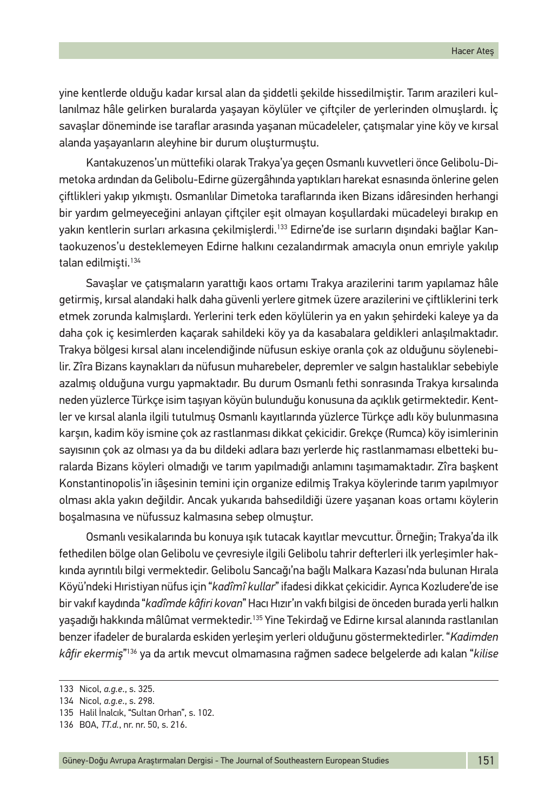yine kentlerde olduğu kadar kırsal alan da şiddetli şekilde hissedilmiştir. Tarım arazileri kullanılmaz hâle gelirken buralarda yaşayan köylüler ve çiftçiler de yerlerinden olmuşlardı. İç savaşlar döneminde ise taraflar arasında yaşanan mücadeleler, çatışmalar yine köy ve kırsal alanda yaşayanların aleyhine bir durum oluşturmuştu.

Kantakuzenos'un müttefiki olarak Trakya'ya geçen Osmanlı kuvvetleri önce Gelibolu-Dimetoka ardından da Gelibolu-Edirne güzergâhında yaptıkları harekat esnasında önlerine gelen çiftlikleri yakıp yıkmıştı. Osmanlılar Dimetoka taraflarında iken Bizans idâresinden herhangi bir yardım gelmeyeceğini anlayan çiftçiler eşit olmayan koşullardaki mücadeleyi bırakıp en yakın kentlerin surları arkasına çekilmişlerdi.<sup>133</sup> Edirne'de ise surların dışındaki bağlar Kantaokuzenos'u desteklemeyen Edirne halkını cezalandırmak amacıyla onun emriyle yakılıp talan edilmişti.134

Savaşlar ve çatışmaların yarattığı kaos ortamı Trakya arazilerini tarım yapılamaz hâle getirmiş, kırsal alandaki halk daha güvenli yerlere gitmek üzere arazilerini ve çiftliklerini terk etmek zorunda kalmışlardı. Yerlerini terk eden köylülerin ya en yakın şehirdeki kaleye ya da daha çok iç kesimlerden kaçarak sahildeki köy ya da kasabalara geldikleri anlaşılmaktadır. Trakya bölgesi kırsal alanı incelendiğinde nüfusun eskiye oranla çok az olduğunu söylenebilir. Zîra Bizans kaynakları da nüfusun muharebeler, depremler ve salgın hastalıklar sebebiyle azalmış olduğuna vurgu yapmaktadır. Bu durum Osmanlı fethi sonrasında Trakya kırsalında neden yüzlerce Türkçe isim taşıyan köyün bulunduğu konusuna da açıklık getirmektedir. Kentler ve kırsal alanla ilgili tutulmuş Osmanlı kayıtlarında yüzlerce Türkçe adlı köy bulunmasına karşın, kadim köy ismine çok az rastlanması dikkat çekicidir. Grekçe (Rumca) köy isimlerinin sayısının çok az olması ya da bu dildeki adlara bazı yerlerde hiç rastlanmaması elbetteki buralarda Bizans köyleri olmadığı ve tarım yapılmadığı anlamını taşımamaktadır. Zîra başkent Konstantinopolis'in iâşesinin temini için organize edilmiş Trakya köylerinde tarım yapılmıyor olması akla yakın değildir. Ancak yukarıda bahsedildiği üzere yaşanan koas ortamı köylerin boşalmasına ve nüfussuz kalmasına sebep olmuştur.

Osmanlı vesikalarında bu konuya ışık tutacak kayıtlar mevcuttur. Örneğin; Trakya'da ilk fethedilen bölge olan Gelibolu ve çevresiyle ilgili Gelibolu tahrir defterleri ilk yerleşimler hakkında ayrıntılı bilgi vermektedir. Gelibolu Sancağı'na bağlı Malkara Kazası'nda bulunan Hırala Köyü'ndeki Hıristiyan nüfus için "*kadîmî kullar*" ifadesi dikkat çekicidir. Ayrıca Kozludere'de ise bir vakıf kaydında "*kadîmde kâfiri kovan*" Hacı Hızır'ın vakfı bilgisi de önceden burada yerli halkın yaşadığı hakkında mâlûmat vermektedir.135 Yine Tekirdağ ve Edirne kırsal alanında rastlanılan benzer ifadeler de buralarda eskiden yerleşim yerleri olduğunu göstermektedirler. "*Kadimden kâfir ekermiş*" 136 ya da artık mevcut olmamasına rağmen sadece belgelerde adı kalan "*kilise* 

<sup>133</sup> Nicol, *a.g.e*., s. 325.

<sup>134</sup> Nicol, *a.g.e*., s. 298.

<sup>135</sup> Halil İnalcık, "Sultan Orhan", s. 102.

<sup>136</sup> BOA, *TT.d.*, nr. nr. 50, s. 216.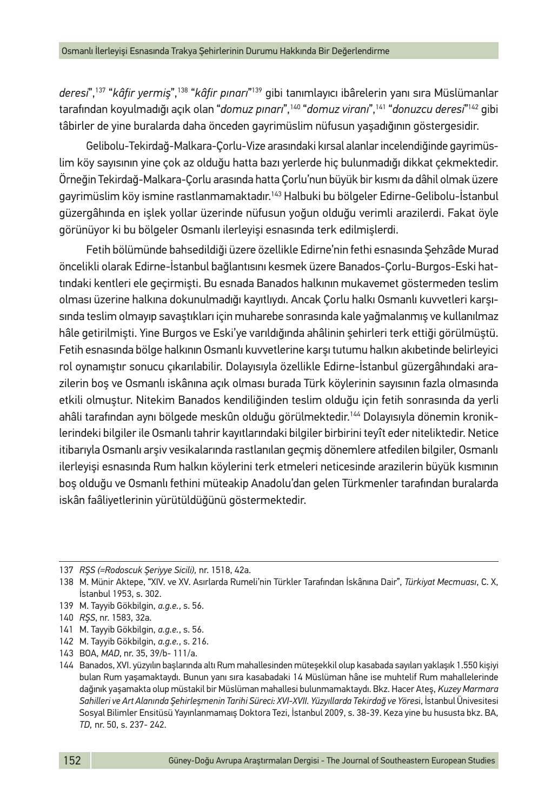*deresi*",137 "*kâfir yermiş*",138 "*kâfir pınarı*" 139 gibi tanımlayıcı ibârelerin yanı sıra Müslümanlar tarafından koyulmadığı açık olan "*domuz pınarı*",140 "*domuz viranı*",141 "*donuzcu deresi*" 142 gibi tâbirler de yine buralarda daha önceden gayrimüslim nüfusun yaşadığının göstergesidir.

Gelibolu-Tekirdağ-Malkara-Çorlu-Vize arasındaki kırsal alanlar incelendiğinde gayrimüslim köy sayısının yine çok az olduğu hatta bazı yerlerde hiç bulunmadığı dikkat çekmektedir. Örneğin Tekirdağ-Malkara-Çorlu arasında hatta Çorlu'nun büyük bir kısmı da dâhil olmak üzere gayrimüslim köy ismine rastlanmamaktadır.143 Halbuki bu bölgeler Edirne-Gelibolu-İstanbul güzergâhında en işlek yollar üzerinde nüfusun yoğun olduğu verimli arazilerdi. Fakat öyle görünüyor ki bu bölgeler Osmanlı ilerleyişi esnasında terk edilmişlerdi.

Fetih bölümünde bahsedildiği üzere özellikle Edirne'nin fethi esnasında Şehzâde Murad öncelikli olarak Edirne-İstanbul bağlantısını kesmek üzere Banados-Çorlu-Burgos-Eski hattındaki kentleri ele geçirmişti. Bu esnada Banados halkının mukavemet göstermeden teslim olması üzerine halkına dokunulmadığı kayıtlıydı. Ancak Çorlu halkı Osmanlı kuvvetleri karşısında teslim olmayıp savaştıkları için muharebe sonrasında kale yağmalanmış ve kullanılmaz hâle getirilmişti. Yine Burgos ve Eski'ye varıldığında ahâlinin şehirleri terk ettiği görülmüştü. Fetih esnasında bölge halkının Osmanlı kuvvetlerine karşı tutumu halkın akıbetinde belirleyici rol oynamıştır sonucu çıkarılabilir. Dolayısıyla özellikle Edirne-İstanbul güzergâhındaki arazilerin boş ve Osmanlı iskânına açık olması burada Türk köylerinin sayısının fazla olmasında etkili olmuştur. Nitekim Banados kendiliğinden teslim olduğu için fetih sonrasında da yerli ahâli tarafından aynı bölgede meskûn olduğu görülmektedir.<sup>144</sup> Dolayısıyla dönemin kroniklerindeki bilgiler ile Osmanlı tahrir kayıtlarındaki bilgiler birbirini teyît eder niteliktedir. Netice itibarıyla Osmanlı arşiv vesikalarında rastlanılan geçmiş dönemlere atfedilen bilgiler, Osmanlı ilerleyişi esnasında Rum halkın köylerini terk etmeleri neticesinde arazilerin büyük kısmının boş olduğu ve Osmanlı fethini müteakip Anadolu'dan gelen Türkmenler tarafından buralarda iskân faâliyetlerinin yürütüldüğünü göstermektedir.

143 BOA, *MAD*, nr. 35, 39/b- 111/a.

<sup>137</sup> *RŞS (=Rodoscuk Şeriyye Sicili),* nr. 1518, 42a.

<sup>138</sup> M. Münir Aktepe, "XIV. ve XV. Asırlarda Rumeli'nin Türkler Tarafından İskânına Dair", *Türkiyat Mecmuası*, C. X, İstanbul 1953, s. 302.

<sup>139</sup> M. Tayyib Gökbilgin, *a.g.e.*, s. 56.

<sup>140</sup> *RŞS*, nr. 1583, 32a.

<sup>141</sup> M. Tayyib Gökbilgin, *a.g.e.*, s. 56.

<sup>142</sup> M. Tayyib Gökbilgin, *a.g.e.*, s. 216.

<sup>144</sup> Banados, XVI. yüzyılın başlarında altı Rum mahallesinden müteşekkil olup kasabada sayıları yaklaşık 1.550 kişiyi bulan Rum yaşamaktaydı. Bunun yanı sıra kasabadaki 14 Müslüman hâne ise muhtelif Rum mahallelerinde dağınık yaşamakta olup müstakil bir Müslüman mahallesi bulunmamaktaydı. Bkz. Hacer Ateş, *Kuzey Marmara Sahilleri ve Art Alanında Şehirleşmenin Tarihi Süreci: XVI-XVII. Yüzyıllarda Tekirdağ ve Yöres*i, İstanbul Ünivesitesi Sosyal Bilimler Ensitüsü Yayınlanmamaış Doktora Tezi, İstanbul 2009, s. 38-39. Keza yine bu hususta bkz. BA, *TD*, nr. 50, s. 237- 242.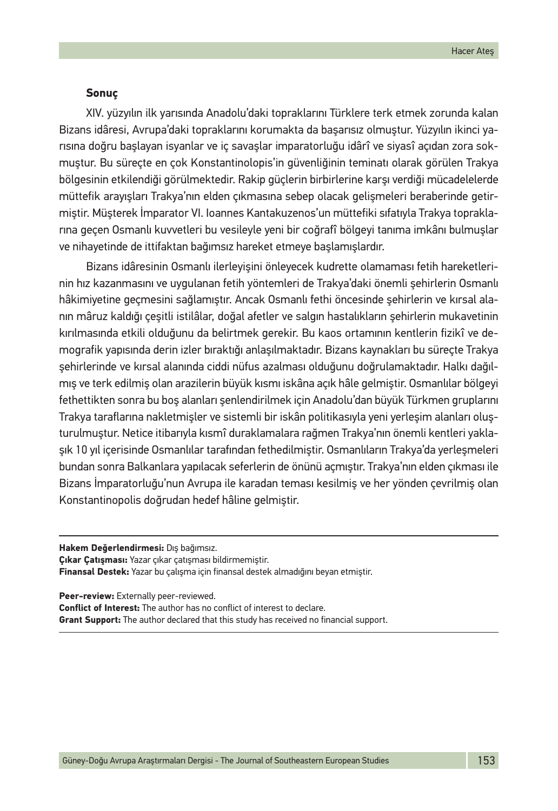#### **Sonuç**

XIV. yüzyılın ilk yarısında Anadolu'daki topraklarını Türklere terk etmek zorunda kalan Bizans idâresi, Avrupa'daki topraklarını korumakta da başarısız olmuştur. Yüzyılın ikinci yarısına doğru başlayan isyanlar ve iç savaşlar imparatorluğu idârî ve siyasî açıdan zora sokmuştur. Bu süreçte en çok Konstantinolopis'in güvenliğinin teminatı olarak görülen Trakya bölgesinin etkilendiği görülmektedir. Rakip güçlerin birbirlerine karşı verdiği mücadelelerde müttefik arayışları Trakya'nın elden çıkmasına sebep olacak gelişmeleri beraberinde getirmiştir. Müşterek İmparator VI. Ioannes Kantakuzenos'un müttefiki sıfatıyla Trakya topraklarına geçen Osmanlı kuvvetleri bu vesileyle yeni bir coğrafî bölgeyi tanıma imkânı bulmuşlar ve nihayetinde de ittifaktan bağımsız hareket etmeye başlamışlardır.

Bizans idâresinin Osmanlı ilerleyişini önleyecek kudrette olamaması fetih hareketlerinin hız kazanmasını ve uygulanan fetih yöntemleri de Trakya'daki önemli şehirlerin Osmanlı hâkimiyetine geçmesini sağlamıştır. Ancak Osmanlı fethi öncesinde şehirlerin ve kırsal alanın mâruz kaldığı çeşitli istilâlar, doğal afetler ve salgın hastalıkların şehirlerin mukavetinin kırılmasında etkili olduğunu da belirtmek gerekir. Bu kaos ortamının kentlerin fizikî ve demografik yapısında derin izler bıraktığı anlaşılmaktadır. Bizans kaynakları bu süreçte Trakya şehirlerinde ve kırsal alanında ciddi nüfus azalması olduğunu doğrulamaktadır. Halkı dağılmış ve terk edilmiş olan arazilerin büyük kısmı iskâna açık hâle gelmiştir. Osmanlılar bölgeyi fethettikten sonra bu boş alanları şenlendirilmek için Anadolu'dan büyük Türkmen gruplarını Trakya taraflarına nakletmişler ve sistemli bir iskân politikasıyla yeni yerleşim alanları oluşturulmuştur. Netice itibarıyla kısmî duraklamalara rağmen Trakya'nın önemli kentleri yaklaşık 10 yıl içerisinde Osmanlılar tarafından fethedilmiştir. Osmanlıların Trakya'da yerleşmeleri bundan sonra Balkanlara yapılacak seferlerin de önünü açmıştır. Trakya'nın elden çıkması ile Bizans İmparatorluğu'nun Avrupa ile karadan teması kesilmiş ve her yönden çevrilmiş olan Konstantinopolis doğrudan hedef hâline gelmiştir.

**Hakem Değerlendirmesi:** Dış bağımsız. **Çıkar Çatışması:** Yazar çıkar çatışması bildirmemiştir. **Finansal Destek:** Yazar bu çalışma için finansal destek almadığını beyan etmiştir.

**Peer-review:** Externally peer-reviewed. **Conflict of Interest:** The author has no conflict of interest to declare. **Grant Support:** The author declared that this study has received no financial support.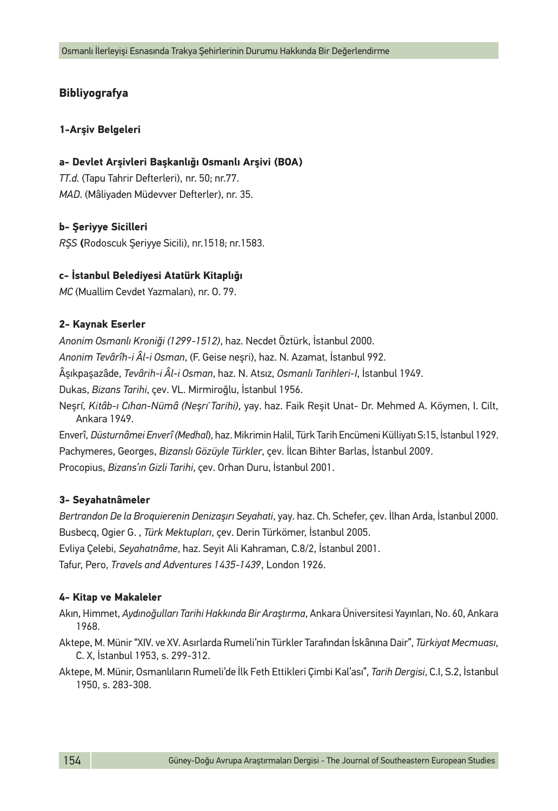## **Bibliyografya**

#### **1-Arşiv Belgeleri**

#### **a- Devlet Arşivleri Başkanlığı Osmanlı Arşivi (BOA)**

*TT.d.* (Tapu Tahrir Defterleri), nr. 50; nr.77. *MAD*. (Mâliyaden Müdevver Defterler), nr. 35.

#### **b- Şeriyye Sicilleri**

*RŞS* **(**Rodoscuk Şeriyye Sicili), nr.1518; nr.1583.

#### **c- İstanbul Belediyesi Atatürk Kitaplığı**

*MC* (Muallim Cevdet Yazmaları), nr. O. 79.

#### **2- Kaynak Eserler**

*Anonim Osmanlı Kroniği (1299-1512)*, haz. Necdet Öztürk, İstanbul 2000.

*Anonim Tevârîh-i Âl-i Osman*, (F. Geise neşri), haz. N. Azamat, İstanbul 992.

Âşıkpaşazâde, *Tevârih-i Âl-i Osman*, haz. N. Atsız, *Osmanlı Tarihleri*-*I*, İstanbul 1949.

Dukas, *Bizans Tarihi*, çev. VL. Mirmiroğlu, İstanbul 1956.

Neşrı̂, *Kitâb-ı Cı̇han-Nümâ (Neşrı̂ Tarihi)*, yay. haz. Faik Reşit Unat- Dr. Mehmed A. Köymen, I. Cilt, Ankara 1949.

Enverî*, Düsturnâmei Enverî (Medhal*), haz. Mikrimin Halil, Türk Tarih Encümeni Külliyatı S:15, İstanbul 1929. Pachymeres, Georges, *Bizanslı Gözüyle Türkler*, çev. İlcan Bihter Barlas, İstanbul 2009. Procopius, *Bizans'ın Gizli Tarihi*, çev. Orhan Duru, İstanbul 2001.

#### **3- Seyahatnâmeler**

*Bertrandon De la Broquierenin Denizaşırı Seyahati*, yay. haz. Ch. Schefer, çev. İlhan Arda, İstanbul 2000. Busbecq, Ogier G. , *Türk Mektupları*, çev. Derin Türkömer, İstanbul 2005.

Evliya Çelebi, *Seyahatnâme*, haz. Seyit Ali Kahraman, C.8/2, İstanbul 2001.

Tafur, Pero, *Travels and Adventures 1435-1439*, London 1926.

#### **4- Kitap ve Makaleler**

Akın, Himmet, *Aydınoğulları Tarihi Hakkında Bir Araştırma*, Ankara Üniversitesi Yayınları, No. 60, Ankara 1968.

- Aktepe, M. Münir "XIV. ve XV. Asırlarda Rumeli'nin Türkler Tarafından İskânına Dair", *Türkiyat Mecmuası*, C. X, İstanbul 1953, s. 299-312.
- Aktepe, M. Münir, Osmanlıların Rumeli'de İlk Feth Ettikleri Çimbi Kal'ası", *Tarih Dergisi*, C.I, S.2, İstanbul 1950, s. 283-308.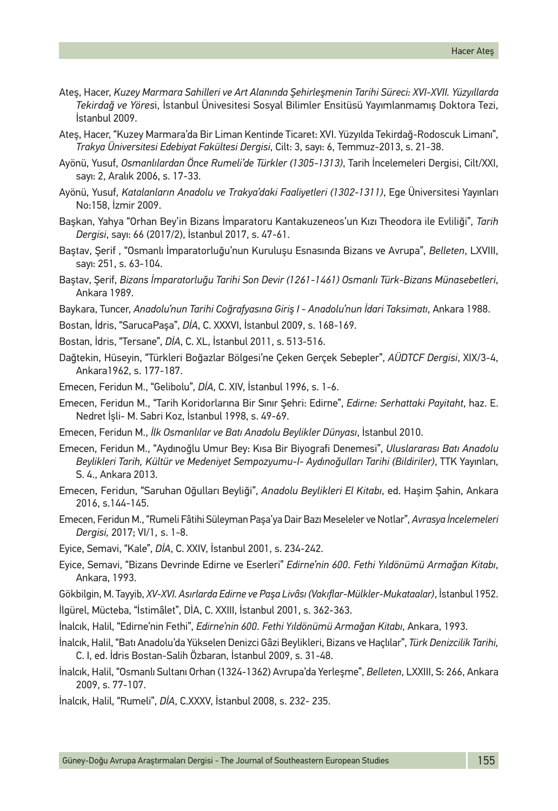- Ateş, Hacer, *Kuzey Marmara Sahilleri ve Art Alanında Şehirleşmenin Tarihi Süreci: XVI-XVII. Yüzyıllarda Tekirdağ ve Yöres*i, İstanbul Ünivesitesi Sosyal Bilimler Ensitüsü Yayımlanmamış Doktora Tezi, İstanbul 2009.
- Ateş, Hacer, "Kuzey Marmara'da Bir Liman Kentinde Ticaret: XVI. Yüzyılda Tekirdağ-Rodoscuk Limanı", *Trakya Üniversitesi Edebiyat Fakültesi Dergisi*, Cilt: 3, sayı: 6, Temmuz-2013, s. 21-38.
- Ayönü, Yusuf, *Osmanlılardan Önce Rumeli'de Türkler (1305-1313)*, Tarih İncelemeleri Dergisi, Cilt/XXI, sayı: 2, Aralık 2006, s. 17-33.
- Ayönü, Yusuf, *Katalanların Anadolu ve Trakya'daki Faaliyetleri (1302-1311)*, Ege Üniversitesi Yayınları No:158, İzmir 2009.
- Başkan, Yahya "Orhan Bey'in Bizans İmparatoru Kantakuzeneos'un Kızı Theodora ile Evliliği", *Tarih Dergisi*, sayı: 66 (2017/2), İstanbul 2017, s. 47-61.
- Baştav, Şerif , "Osmanlı İmparatorluğu'nun Kuruluşu Esnasında Bizans ve Avrupa", *Belleten*, LXVIII, sayı: 251, s. 63-104.
- Baştav, Şerif, *Bizans İmparatorluğu Tarihi Son Devir (1261-1461) Osmanlı Türk-Bizans Münasebetleri*, Ankara 1989.
- Baykara, Tuncer, *Anadolu'nun Tarihi Coğrafyasına Giriş I Anadolu'nun İdari Taksimatı*, Ankara 1988.
- Bostan, İdris, "SarucaPaşa", *DİA*, C. XXXVI, İstanbul 2009, s. 168-169.
- Bostan, İdris, "Tersane", *DİA*, C. XL, İstanbul 2011, s. 513-516.
- Dağtekin, Hüseyin, "Türkleri Boğazlar Bölgesi'ne Çeken Gerçek Sebepler", *AÜDTCF Dergisi*, XIX/3-4, Ankara1962, s. 177-187.
- Emecen, Feridun M., "Gelibolu", *DİA*, C. XIV, İstanbul 1996, s. 1-6.
- Emecen, Feridun M., "Tarih Koridorlarına Bir Sınır Şehri: Edirne", *Edirne: Serhattaki Payitaht*, haz. E. Nedret İşli- M. Sabri Koz, İstanbul 1998, s. 49-69.
- Emecen, Feridun M., *İlk Osmanlılar ve Batı Anadolu Beylikler Dünyası*, İstanbul 2010.
- Emecen, Feridun M., "Aydınoğlu Umur Bey: Kısa Bir Biyografi Denemesi", *Uluslararası Batı Anadolu Beylikleri Tarih, Kültür ve Medeniyet Sempozyumu-I- Aydınoğulları Tarihi (Bildiriler)*, TTK Yayınları, S. 4., Ankara 2013.
- Emecen, Feridun, "Saruhan Oğulları Beyliği", *Anadolu Beylikleri El Kitabı*, ed. Haşim Şahin, Ankara 2016, s.144-145.
- Emecen, Feridun M., "Rumeli Fâtihi Süleyman Paşa'ya Dair Bazı Meseleler ve Notlar", *Avrasya İncelemeleri Dergisi,* 2017; VI/1, s. 1-8.
- Eyice, Semavi, "Kale", *DİA*, C. XXIV, İstanbul 2001, s. 234-242.
- Eyice, Semavi, "Bizans Devrinde Edirne ve Eserleri" *Edirne'nin 600. Fethi Yıldönümü Armağan Kitabı*, Ankara, 1993.
- Gökbilgin, M. Tayyib, *XV-XVI. Asırlarda Edirne ve Paşa Livâsı (Vakıflar-Mülkler-Mukataalar)*, İstanbul 1952.
- İlgürel, Mücteba, "İstimâlet", DİA, C. XXIII, İstanbul 2001, s. 362-363.
- İnalcık, Halil, "Edirne'nin Fethi", *Edirne'nin 600. Fethi Yıldönümü Armağan Kitabı*, Ankara, 1993.
- İnalcık, Halil, "Batı Anadolu'da Yükselen Denizci Gâzi Beylikleri, Bizans ve Haçlılar", *Türk Denizcilik Tarihi,* C. I, ed. İdris Bostan-Salih Özbaran, İstanbul 2009, s. 31-48.
- İnalcık, Halil, "Osmanlı Sultanı Orhan (1324-1362) Avrupa'da Yerleşme", *Belleten*, LXXIII, S: 266, Ankara 2009, s. 77-107.
- İnalcık, Halil, "Rumeli", *DİA*, C.XXXV, İstanbul 2008, s. 232- 235.